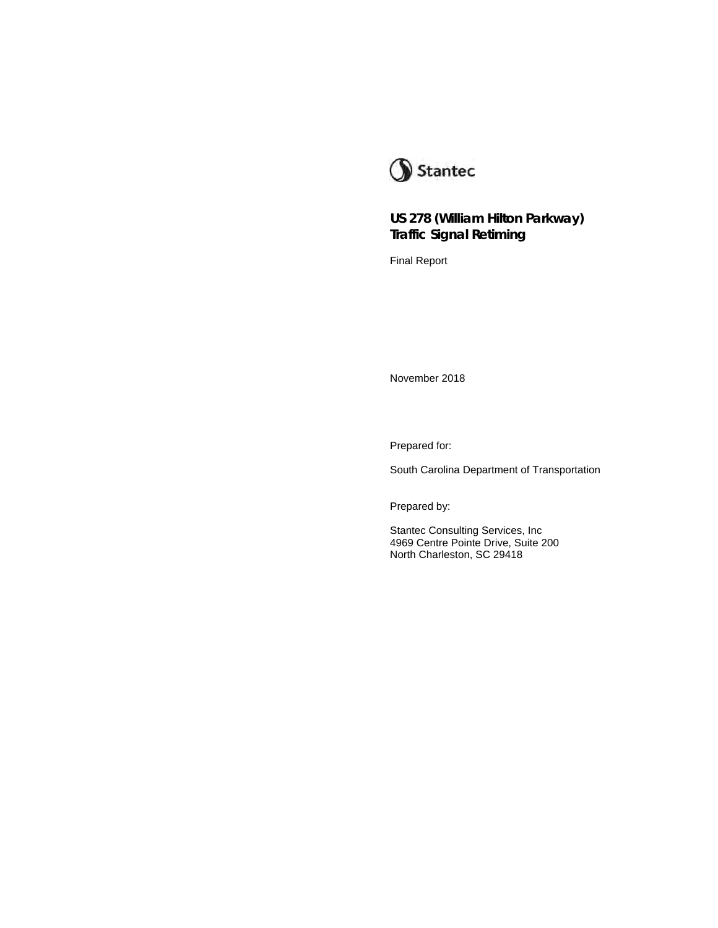

## **US 278 (William Hilton Parkway) Traffic Signal Retiming**

Final Report

November 2018

Prepared for:

South Carolina Department of Transportation

Prepared by:

Stantec Consulting Services, Inc 4969 Centre Pointe Drive, Suite 200 North Charleston, SC 29418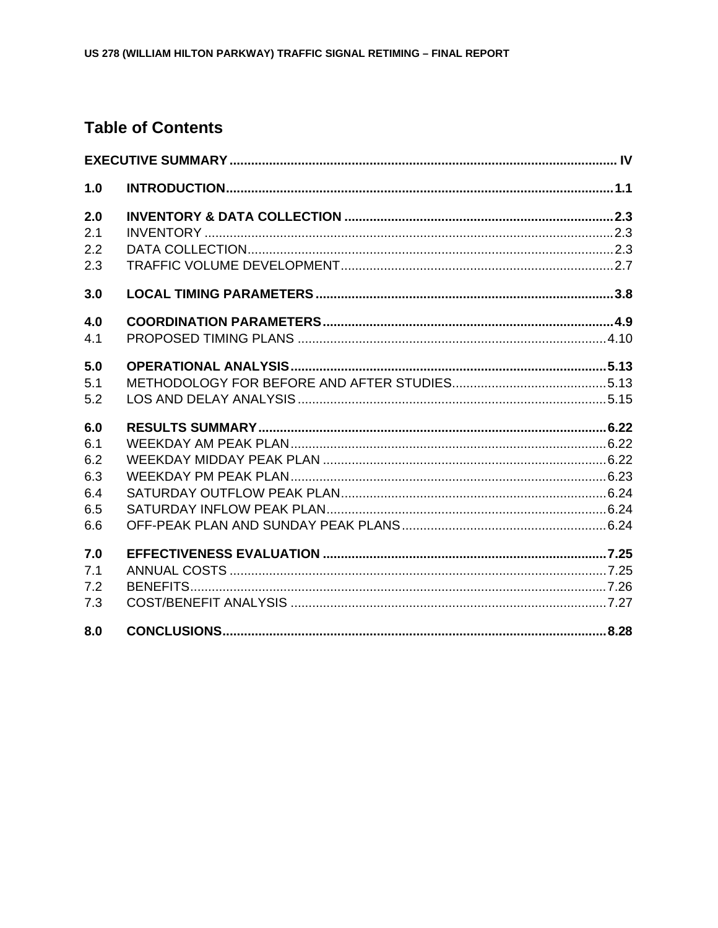# **Table of Contents**

| 1.0 |  |
|-----|--|
| 2.0 |  |
| 2.1 |  |
| 2.2 |  |
| 2.3 |  |
| 3.0 |  |
| 4.0 |  |
| 4.1 |  |
| 5.0 |  |
| 5.1 |  |
| 5.2 |  |
| 6.0 |  |
| 6.1 |  |
| 6.2 |  |
| 6.3 |  |
| 6.4 |  |
| 6.5 |  |
| 6.6 |  |
| 7.0 |  |
| 7.1 |  |
| 7.2 |  |
| 7.3 |  |
| 8.0 |  |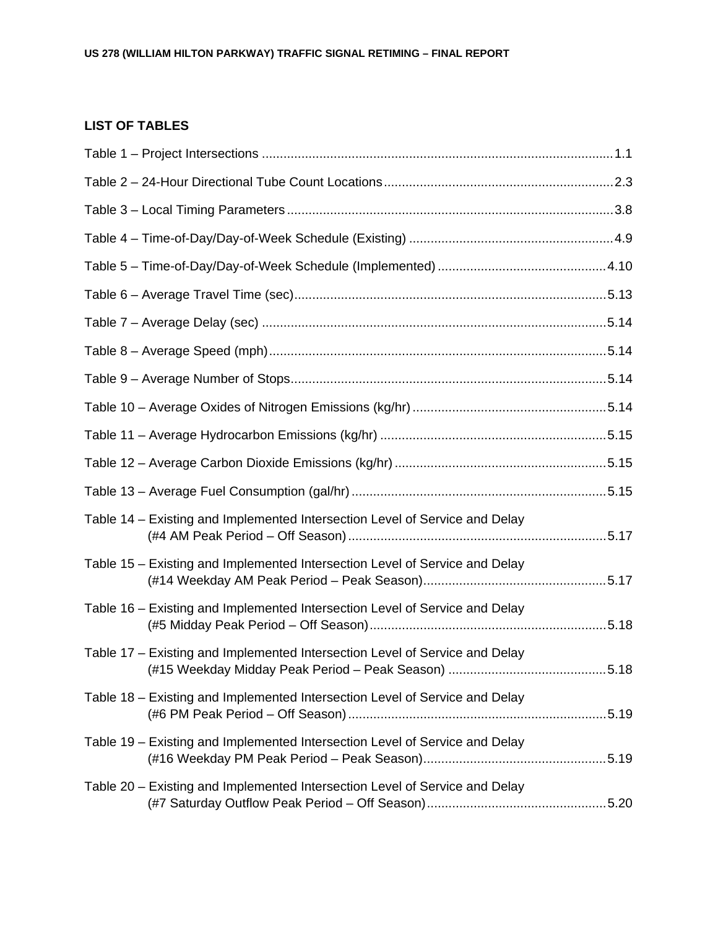## **LIST OF TABLES**

| Table 14 – Existing and Implemented Intersection Level of Service and Delay |      |
|-----------------------------------------------------------------------------|------|
| Table 15 - Existing and Implemented Intersection Level of Service and Delay |      |
| Table 16 – Existing and Implemented Intersection Level of Service and Delay |      |
| Table 17 – Existing and Implemented Intersection Level of Service and Delay | 5.18 |
| Table 18 - Existing and Implemented Intersection Level of Service and Delay |      |
| Table 19 – Existing and Implemented Intersection Level of Service and Delay |      |
| Table 20 – Existing and Implemented Intersection Level of Service and Delay |      |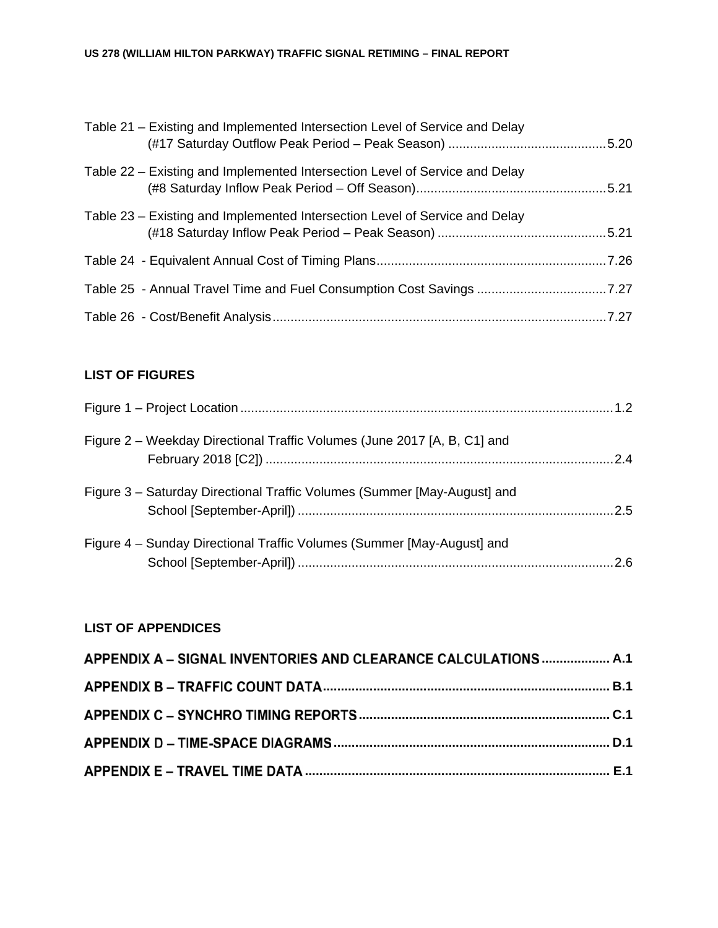| Table 21 – Existing and Implemented Intersection Level of Service and Delay |  |
|-----------------------------------------------------------------------------|--|
| Table 22 – Existing and Implemented Intersection Level of Service and Delay |  |
| Table 23 – Existing and Implemented Intersection Level of Service and Delay |  |
|                                                                             |  |
| Table 25 - Annual Travel Time and Fuel Consumption Cost Savings 7.27        |  |
|                                                                             |  |

# **LIST OF FIGURES**

| Figure 2 – Weekday Directional Traffic Volumes (June 2017 [A, B, C1] and |  |
|--------------------------------------------------------------------------|--|
| Figure 3 – Saturday Directional Traffic Volumes (Summer [May-August] and |  |
| Figure 4 – Sunday Directional Traffic Volumes (Summer [May-August] and   |  |

# **LIST OF APPENDICES**

| APPENDIX A - SIGNAL INVENTORIES AND CLEARANCE CALCULATIONS  A.1 |  |
|-----------------------------------------------------------------|--|
|                                                                 |  |
|                                                                 |  |
|                                                                 |  |
|                                                                 |  |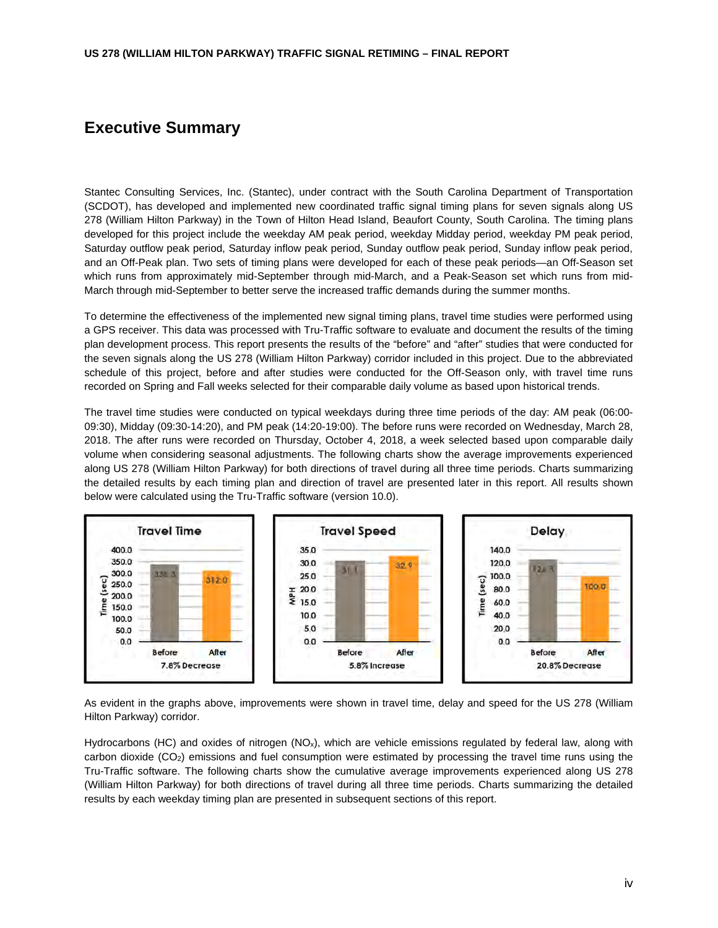## **Executive Summary**

Stantec Consulting Services, Inc. (Stantec), under contract with the South Carolina Department of Transportation (SCDOT), has developed and implemented new coordinated traffic signal timing plans for seven signals along US 278 (William Hilton Parkway) in the Town of Hilton Head Island, Beaufort County, South Carolina. The timing plans developed for this project include the weekday AM peak period, weekday Midday period, weekday PM peak period, Saturday outflow peak period, Saturday inflow peak period, Sunday outflow peak period, Sunday inflow peak period, and an Off-Peak plan. Two sets of timing plans were developed for each of these peak periods—an Off-Season set which runs from approximately mid-September through mid-March, and a Peak-Season set which runs from mid-March through mid-September to better serve the increased traffic demands during the summer months.

To determine the effectiveness of the implemented new signal timing plans, travel time studies were performed using a GPS receiver. This data was processed with Tru-Traffic software to evaluate and document the results of the timing plan development process. This report presents the results of the "before" and "after" studies that were conducted for the seven signals along the US 278 (William Hilton Parkway) corridor included in this project. Due to the abbreviated schedule of this project, before and after studies were conducted for the Off-Season only, with travel time runs recorded on Spring and Fall weeks selected for their comparable daily volume as based upon historical trends.

The travel time studies were conducted on typical weekdays during three time periods of the day: AM peak (06:00- 09:30), Midday (09:30-14:20), and PM peak (14:20-19:00). The before runs were recorded on Wednesday, March 28, 2018. The after runs were recorded on Thursday, October 4, 2018, a week selected based upon comparable daily volume when considering seasonal adjustments. The following charts show the average improvements experienced along US 278 (William Hilton Parkway) for both directions of travel during all three time periods. Charts summarizing the detailed results by each timing plan and direction of travel are presented later in this report. All results shown below were calculated using the Tru-Traffic software (version 10.0).



As evident in the graphs above, improvements were shown in travel time, delay and speed for the US 278 (William Hilton Parkway) corridor.

Hydrocarbons (HC) and oxides of nitrogen (NO<sub>x</sub>), which are vehicle emissions regulated by federal law, along with carbon dioxide (CO2) emissions and fuel consumption were estimated by processing the travel time runs using the Tru-Traffic software. The following charts show the cumulative average improvements experienced along US 278 (William Hilton Parkway) for both directions of travel during all three time periods. Charts summarizing the detailed results by each weekday timing plan are presented in subsequent sections of this report.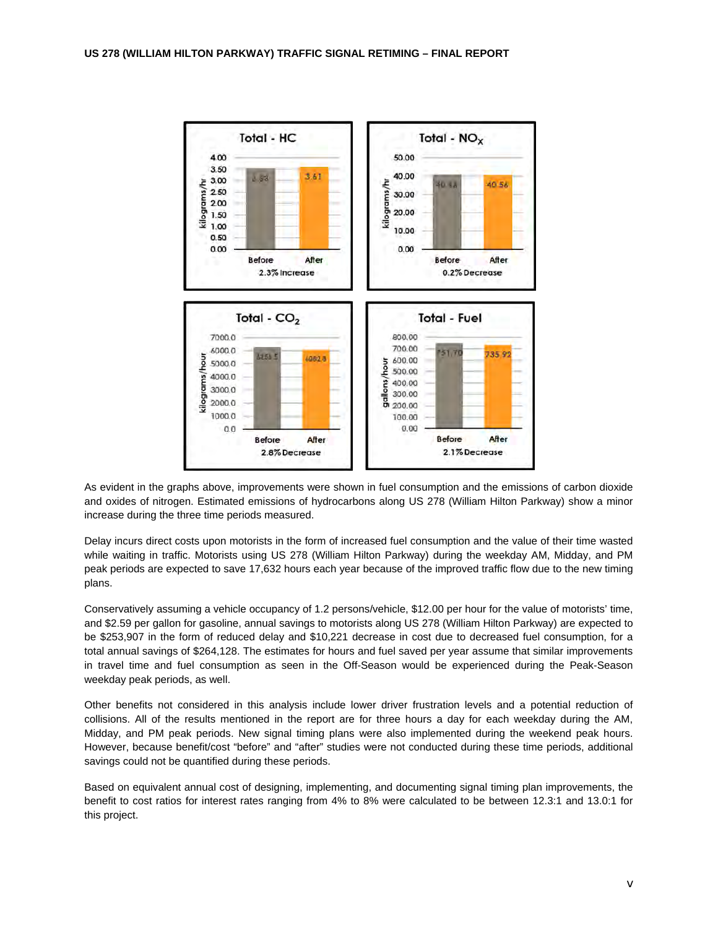

As evident in the graphs above, improvements were shown in fuel consumption and the emissions of carbon dioxide and oxides of nitrogen. Estimated emissions of hydrocarbons along US 278 (William Hilton Parkway) show a minor increase during the three time periods measured.

Delay incurs direct costs upon motorists in the form of increased fuel consumption and the value of their time wasted while waiting in traffic. Motorists using US 278 (William Hilton Parkway) during the weekday AM, Midday, and PM peak periods are expected to save 17,632 hours each year because of the improved traffic flow due to the new timing plans.

Conservatively assuming a vehicle occupancy of 1.2 persons/vehicle, \$12.00 per hour for the value of motorists' time, and \$2.59 per gallon for gasoline, annual savings to motorists along US 278 (William Hilton Parkway) are expected to be \$253,907 in the form of reduced delay and \$10,221 decrease in cost due to decreased fuel consumption, for a total annual savings of \$264,128. The estimates for hours and fuel saved per year assume that similar improvements in travel time and fuel consumption as seen in the Off-Season would be experienced during the Peak-Season weekday peak periods, as well.

Other benefits not considered in this analysis include lower driver frustration levels and a potential reduction of collisions. All of the results mentioned in the report are for three hours a day for each weekday during the AM, Midday, and PM peak periods. New signal timing plans were also implemented during the weekend peak hours. However, because benefit/cost "before" and "after" studies were not conducted during these time periods, additional savings could not be quantified during these periods.

Based on equivalent annual cost of designing, implementing, and documenting signal timing plan improvements, the benefit to cost ratios for interest rates ranging from 4% to 8% were calculated to be between 12.3:1 and 13.0:1 for this project.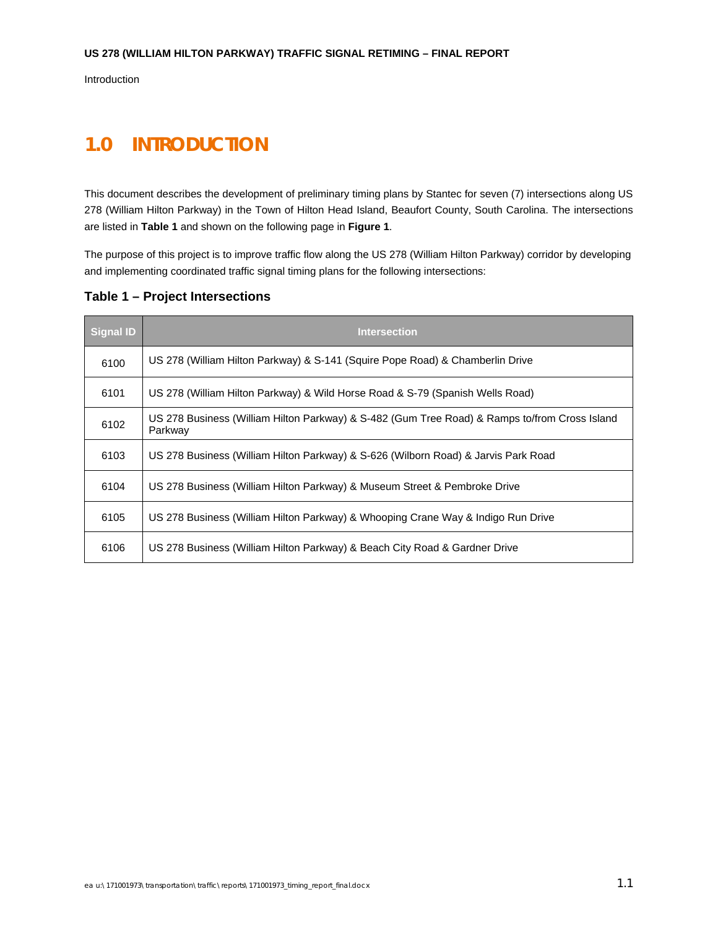Introduction

# **1.0 INTRODUCTION**

This document describes the development of preliminary timing plans by Stantec for seven (7) intersections along US 278 (William Hilton Parkway) in the Town of Hilton Head Island, Beaufort County, South Carolina. The intersections are listed in **Table 1** and shown on the following page in **Figure 1**.

The purpose of this project is to improve traffic flow along the US 278 (William Hilton Parkway) corridor by developing and implementing coordinated traffic signal timing plans for the following intersections:

**Table 1 – Project Intersections** 

| <b>Signal ID</b> | <b>Intersection</b>                                                                                      |
|------------------|----------------------------------------------------------------------------------------------------------|
| 6100             | US 278 (William Hilton Parkway) & S-141 (Squire Pope Road) & Chamberlin Drive                            |
| 6101             | US 278 (William Hilton Parkway) & Wild Horse Road & S-79 (Spanish Wells Road)                            |
| 6102             | US 278 Business (William Hilton Parkway) & S-482 (Gum Tree Road) & Ramps to/from Cross Island<br>Parkway |
| 6103             | US 278 Business (William Hilton Parkway) & S-626 (Wilborn Road) & Jarvis Park Road                       |
| 6104             | US 278 Business (William Hilton Parkway) & Museum Street & Pembroke Drive                                |
| 6105             | US 278 Business (William Hilton Parkway) & Whooping Crane Way & Indigo Run Drive                         |
| 6106             | US 278 Business (William Hilton Parkway) & Beach City Road & Gardner Drive                               |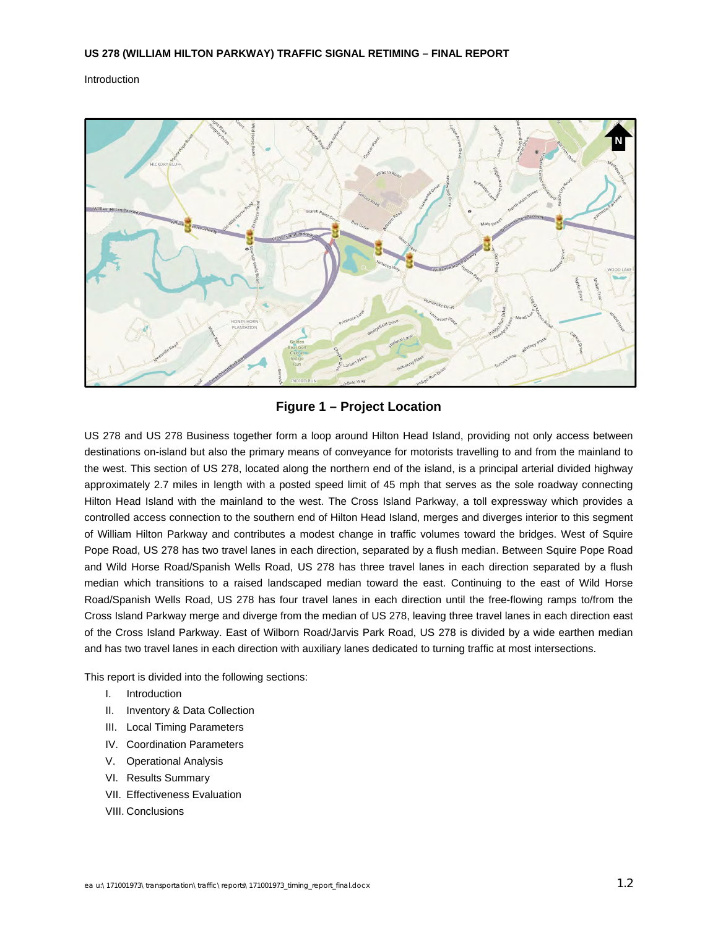Introduction



### **Figure 1 – Project Location**

US 278 and US 278 Business together form a loop around Hilton Head Island, providing not only access between destinations on-island but also the primary means of conveyance for motorists travelling to and from the mainland to the west. This section of US 278, located along the northern end of the island, is a principal arterial divided highway approximately 2.7 miles in length with a posted speed limit of 45 mph that serves as the sole roadway connecting Hilton Head Island with the mainland to the west. The Cross Island Parkway, a toll expressway which provides a controlled access connection to the southern end of Hilton Head Island, merges and diverges interior to this segment of William Hilton Parkway and contributes a modest change in traffic volumes toward the bridges. West of Squire Pope Road, US 278 has two travel lanes in each direction, separated by a flush median. Between Squire Pope Road and Wild Horse Road/Spanish Wells Road, US 278 has three travel lanes in each direction separated by a flush median which transitions to a raised landscaped median toward the east. Continuing to the east of Wild Horse Road/Spanish Wells Road, US 278 has four travel lanes in each direction until the free-flowing ramps to/from the Cross Island Parkway merge and diverge from the median of US 278, leaving three travel lanes in each direction east of the Cross Island Parkway. East of Wilborn Road/Jarvis Park Road, US 278 is divided by a wide earthen median and has two travel lanes in each direction with auxiliary lanes dedicated to turning traffic at most intersections.

This report is divided into the following sections:

- I. Introduction
- II. Inventory & Data Collection
- III. Local Timing Parameters
- IV. Coordination Parameters
- V. Operational Analysis
- VI. Results Summary
- VII. Effectiveness Evaluation
- VIII. Conclusions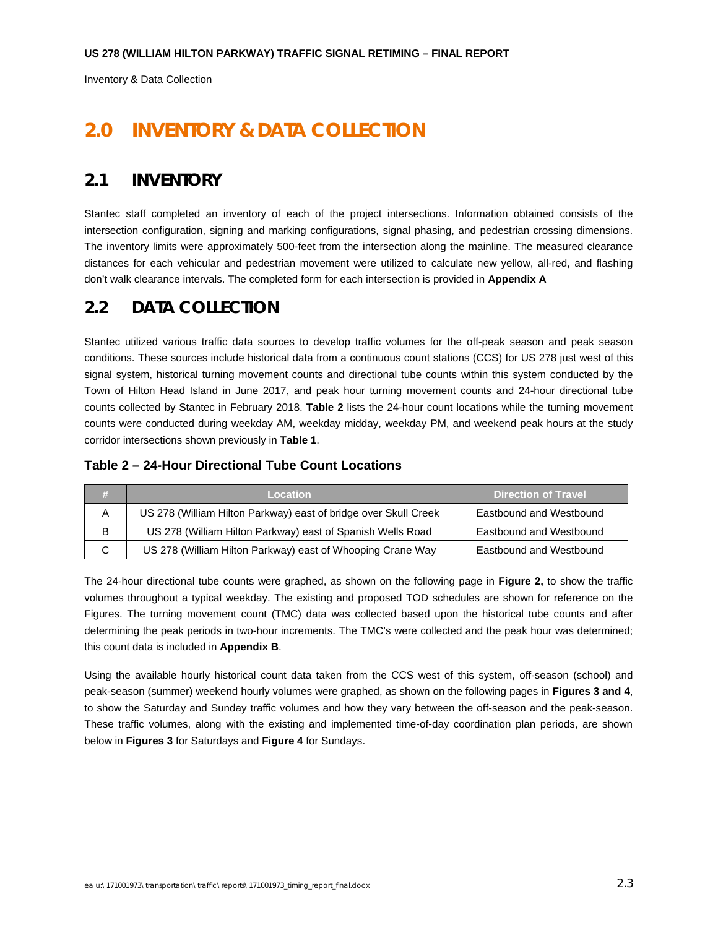Inventory & Data Collection

# **2.0 INVENTORY & DATA COLLECTION**

## **2.1 INVENTORY**

Stantec staff completed an inventory of each of the project intersections. Information obtained consists of the intersection configuration, signing and marking configurations, signal phasing, and pedestrian crossing dimensions. The inventory limits were approximately 500-feet from the intersection along the mainline. The measured clearance distances for each vehicular and pedestrian movement were utilized to calculate new yellow, all-red, and flashing don't walk clearance intervals. The completed form for each intersection is provided in **Appendix A**

# **2.2 DATA COLLECTION**

Stantec utilized various traffic data sources to develop traffic volumes for the off-peak season and peak season conditions. These sources include historical data from a continuous count stations (CCS) for US 278 just west of this signal system, historical turning movement counts and directional tube counts within this system conducted by the Town of Hilton Head Island in June 2017, and peak hour turning movement counts and 24-hour directional tube counts collected by Stantec in February 2018. **Table 2** lists the 24-hour count locations while the turning movement counts were conducted during weekday AM, weekday midday, weekday PM, and weekend peak hours at the study corridor intersections shown previously in **Table 1**.

#### **Table 2 – 24-Hour Directional Tube Count Locations**

|   | <b>Location</b>                                                 | <b>Direction of Travel</b> |
|---|-----------------------------------------------------------------|----------------------------|
| Α | US 278 (William Hilton Parkway) east of bridge over Skull Creek | Eastbound and Westbound    |
| B | US 278 (William Hilton Parkway) east of Spanish Wells Road      | Eastbound and Westbound    |
| C | US 278 (William Hilton Parkway) east of Whooping Crane Way      | Eastbound and Westbound    |

The 24-hour directional tube counts were graphed, as shown on the following page in **Figure 2,** to show the traffic volumes throughout a typical weekday. The existing and proposed TOD schedules are shown for reference on the Figures. The turning movement count (TMC) data was collected based upon the historical tube counts and after determining the peak periods in two-hour increments. The TMC's were collected and the peak hour was determined; this count data is included in **Appendix B**.

Using the available hourly historical count data taken from the CCS west of this system, off-season (school) and peak-season (summer) weekend hourly volumes were graphed, as shown on the following pages in **Figures 3 and 4**, to show the Saturday and Sunday traffic volumes and how they vary between the off-season and the peak-season. These traffic volumes, along with the existing and implemented time-of-day coordination plan periods, are shown below in **Figures 3** for Saturdays and **Figure 4** for Sundays.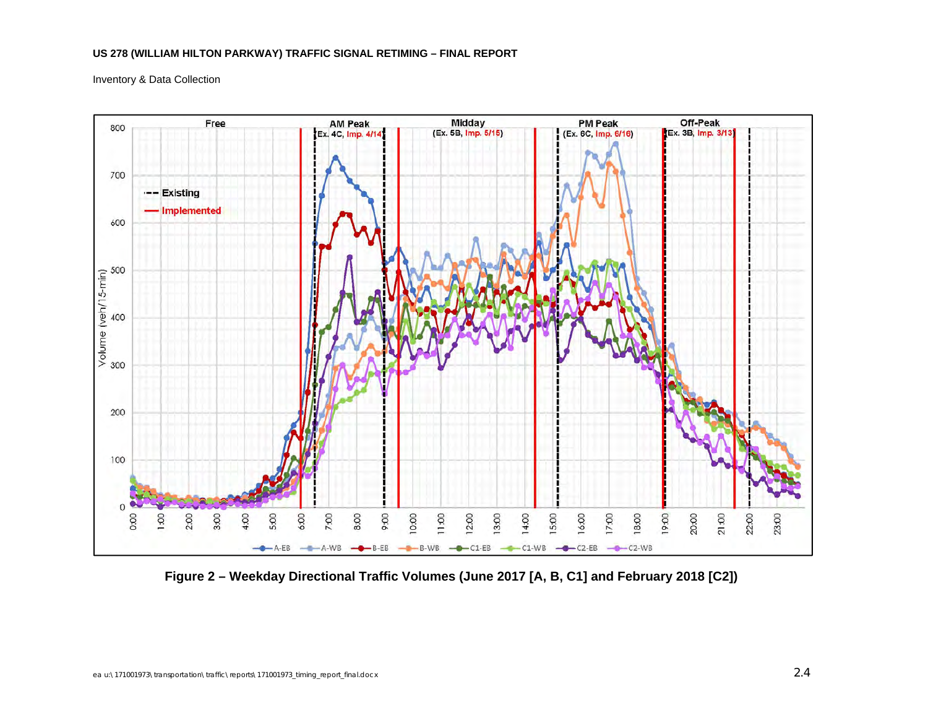Inventory & Data Collection



**Figure 2 – Weekday Directional Traffic Volumes (June 2017 [A, B, C1] and February 2018 [C2])**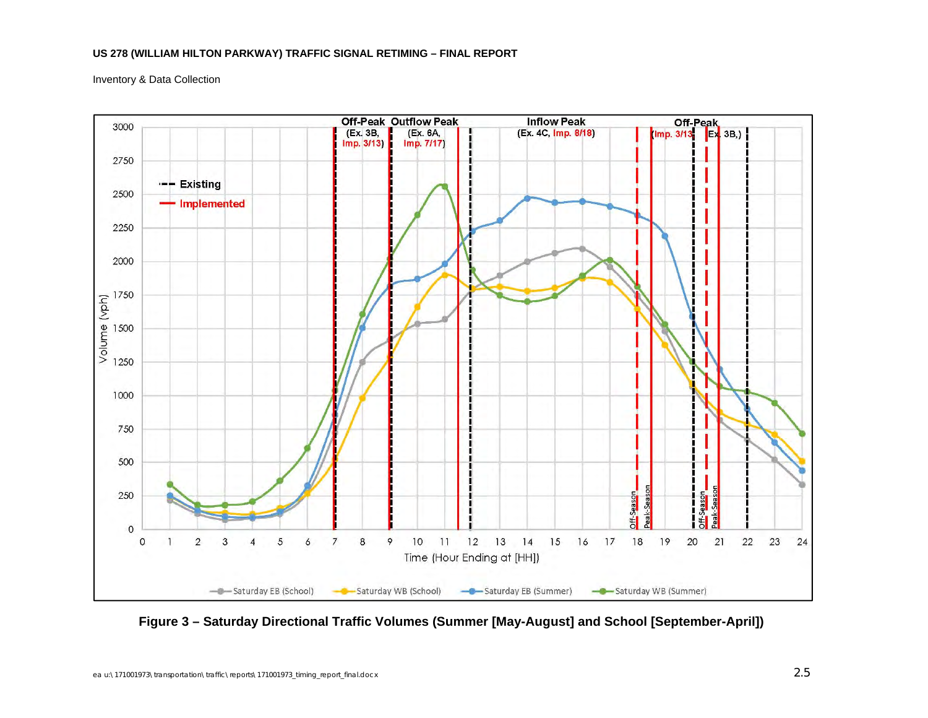Inventory & Data Collection



**Figure 3 – Saturday Directional Traffic Volumes (Summer [May-August] and School [September-April])**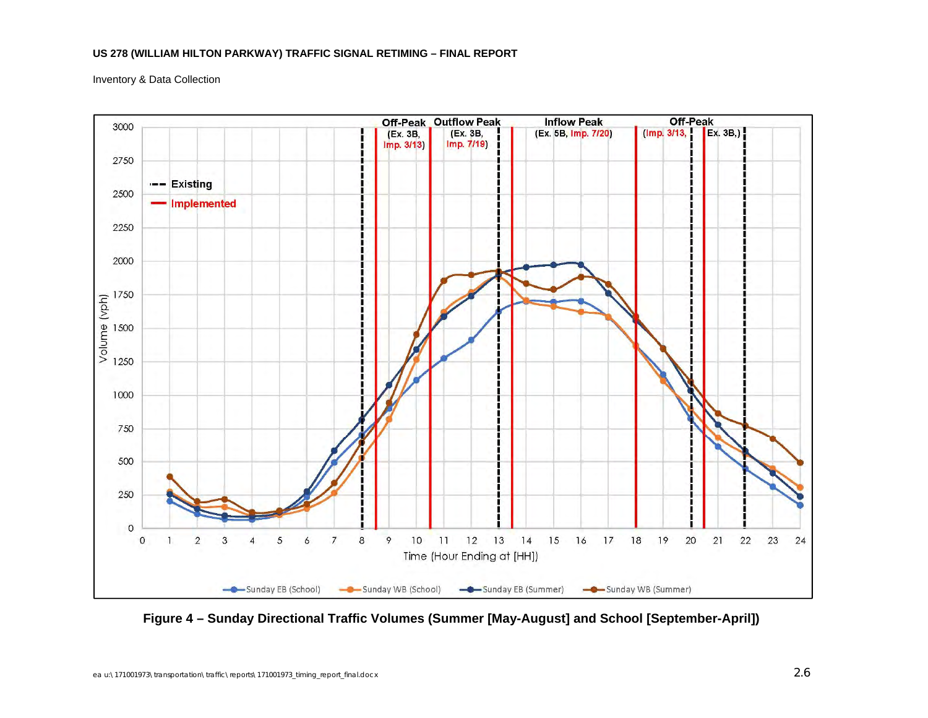Inventory & Data Collection



**Figure 4 – Sunday Directional Traffic Volumes (Summer [May-August] and School [September-April])**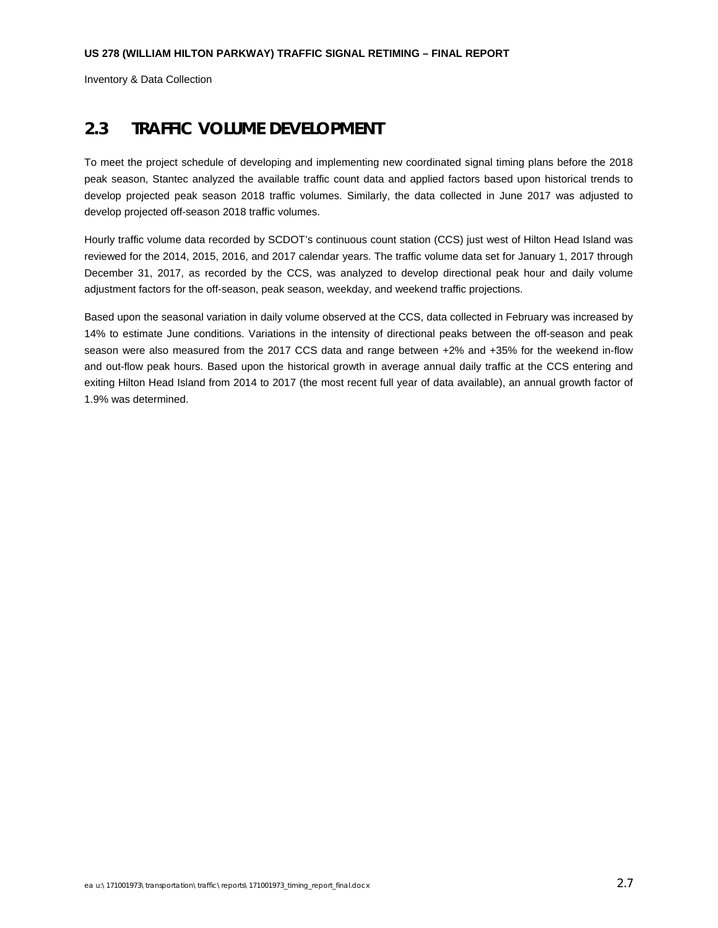Inventory & Data Collection

## **2.3 TRAFFIC VOLUME DEVELOPMENT**

To meet the project schedule of developing and implementing new coordinated signal timing plans before the 2018 peak season, Stantec analyzed the available traffic count data and applied factors based upon historical trends to develop projected peak season 2018 traffic volumes. Similarly, the data collected in June 2017 was adjusted to develop projected off-season 2018 traffic volumes.

Hourly traffic volume data recorded by SCDOT's continuous count station (CCS) just west of Hilton Head Island was reviewed for the 2014, 2015, 2016, and 2017 calendar years. The traffic volume data set for January 1, 2017 through December 31, 2017, as recorded by the CCS, was analyzed to develop directional peak hour and daily volume adjustment factors for the off-season, peak season, weekday, and weekend traffic projections.

Based upon the seasonal variation in daily volume observed at the CCS, data collected in February was increased by 14% to estimate June conditions. Variations in the intensity of directional peaks between the off-season and peak season were also measured from the 2017 CCS data and range between +2% and +35% for the weekend in-flow and out-flow peak hours. Based upon the historical growth in average annual daily traffic at the CCS entering and exiting Hilton Head Island from 2014 to 2017 (the most recent full year of data available), an annual growth factor of 1.9% was determined.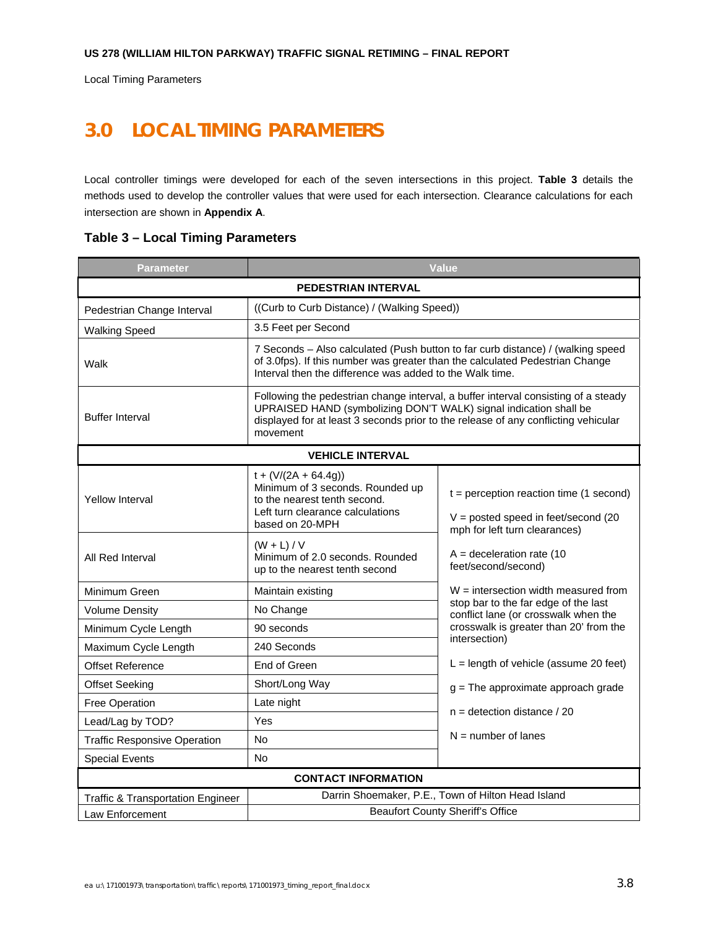Local Timing Parameters

# **3.0 LOCAL TIMING PARAMETERS**

Local controller timings were developed for each of the seven intersections in this project. **Table 3** details the methods used to develop the controller values that were used for each intersection. Clearance calculations for each intersection are shown in **Appendix A**.

| Parameter                                                                                                                                                                                                                                                                           | <b>Value</b>                                                                                                                                      |                                                                                                                     |  |  |  |  |  |  |  |
|-------------------------------------------------------------------------------------------------------------------------------------------------------------------------------------------------------------------------------------------------------------------------------------|---------------------------------------------------------------------------------------------------------------------------------------------------|---------------------------------------------------------------------------------------------------------------------|--|--|--|--|--|--|--|
| <b>PEDESTRIAN INTERVAL</b>                                                                                                                                                                                                                                                          |                                                                                                                                                   |                                                                                                                     |  |  |  |  |  |  |  |
| Pedestrian Change Interval                                                                                                                                                                                                                                                          | ((Curb to Curb Distance) / (Walking Speed))                                                                                                       |                                                                                                                     |  |  |  |  |  |  |  |
| <b>Walking Speed</b>                                                                                                                                                                                                                                                                | 3.5 Feet per Second                                                                                                                               |                                                                                                                     |  |  |  |  |  |  |  |
| 7 Seconds – Also calculated (Push button to far curb distance) / (walking speed<br>of 3.0fps). If this number was greater than the calculated Pedestrian Change<br>Walk<br>Interval then the difference was added to the Walk time.                                                 |                                                                                                                                                   |                                                                                                                     |  |  |  |  |  |  |  |
| Following the pedestrian change interval, a buffer interval consisting of a steady<br>UPRAISED HAND (symbolizing DON'T WALK) signal indication shall be<br><b>Buffer Interval</b><br>displayed for at least 3 seconds prior to the release of any conflicting vehicular<br>movement |                                                                                                                                                   |                                                                                                                     |  |  |  |  |  |  |  |
|                                                                                                                                                                                                                                                                                     | <b>VEHICLE INTERVAL</b>                                                                                                                           |                                                                                                                     |  |  |  |  |  |  |  |
| <b>Yellow Interval</b>                                                                                                                                                                                                                                                              | $t + (V/(2A + 64.4g))$<br>Minimum of 3 seconds. Rounded up<br>to the nearest tenth second.<br>Left turn clearance calculations<br>based on 20-MPH | $t =$ perception reaction time (1 second)<br>$V =$ posted speed in feet/second (20<br>mph for left turn clearances) |  |  |  |  |  |  |  |
| All Red Interval                                                                                                                                                                                                                                                                    | $A = deceleration rate (10$<br>feet/second/second)                                                                                                |                                                                                                                     |  |  |  |  |  |  |  |
| Minimum Green                                                                                                                                                                                                                                                                       | Maintain existing                                                                                                                                 | $W =$ intersection width measured from                                                                              |  |  |  |  |  |  |  |
| <b>Volume Density</b>                                                                                                                                                                                                                                                               | No Change                                                                                                                                         | stop bar to the far edge of the last<br>conflict lane (or crosswalk when the                                        |  |  |  |  |  |  |  |
| Minimum Cycle Length                                                                                                                                                                                                                                                                | 90 seconds                                                                                                                                        | crosswalk is greater than 20' from the                                                                              |  |  |  |  |  |  |  |
| Maximum Cycle Length                                                                                                                                                                                                                                                                | 240 Seconds                                                                                                                                       | intersection)                                                                                                       |  |  |  |  |  |  |  |
| <b>Offset Reference</b>                                                                                                                                                                                                                                                             | End of Green                                                                                                                                      | $L =$ length of vehicle (assume 20 feet)                                                                            |  |  |  |  |  |  |  |
| <b>Offset Seeking</b>                                                                                                                                                                                                                                                               | Short/Long Way                                                                                                                                    | $g$ = The approximate approach grade                                                                                |  |  |  |  |  |  |  |
| <b>Free Operation</b>                                                                                                                                                                                                                                                               | Late night                                                                                                                                        | $n =$ detection distance / 20                                                                                       |  |  |  |  |  |  |  |
| Yes<br>Lead/Lag by TOD?                                                                                                                                                                                                                                                             |                                                                                                                                                   |                                                                                                                     |  |  |  |  |  |  |  |
| <b>Traffic Responsive Operation</b>                                                                                                                                                                                                                                                 | $N =$ number of lanes                                                                                                                             |                                                                                                                     |  |  |  |  |  |  |  |
| <b>Special Events</b><br>No                                                                                                                                                                                                                                                         |                                                                                                                                                   |                                                                                                                     |  |  |  |  |  |  |  |
|                                                                                                                                                                                                                                                                                     | <b>CONTACT INFORMATION</b>                                                                                                                        |                                                                                                                     |  |  |  |  |  |  |  |
| <b>Traffic &amp; Transportation Engineer</b>                                                                                                                                                                                                                                        |                                                                                                                                                   | Darrin Shoemaker, P.E., Town of Hilton Head Island                                                                  |  |  |  |  |  |  |  |
| <b>Beaufort County Sheriff's Office</b><br>Law Enforcement                                                                                                                                                                                                                          |                                                                                                                                                   |                                                                                                                     |  |  |  |  |  |  |  |

#### **Table 3 – Local Timing Parameters**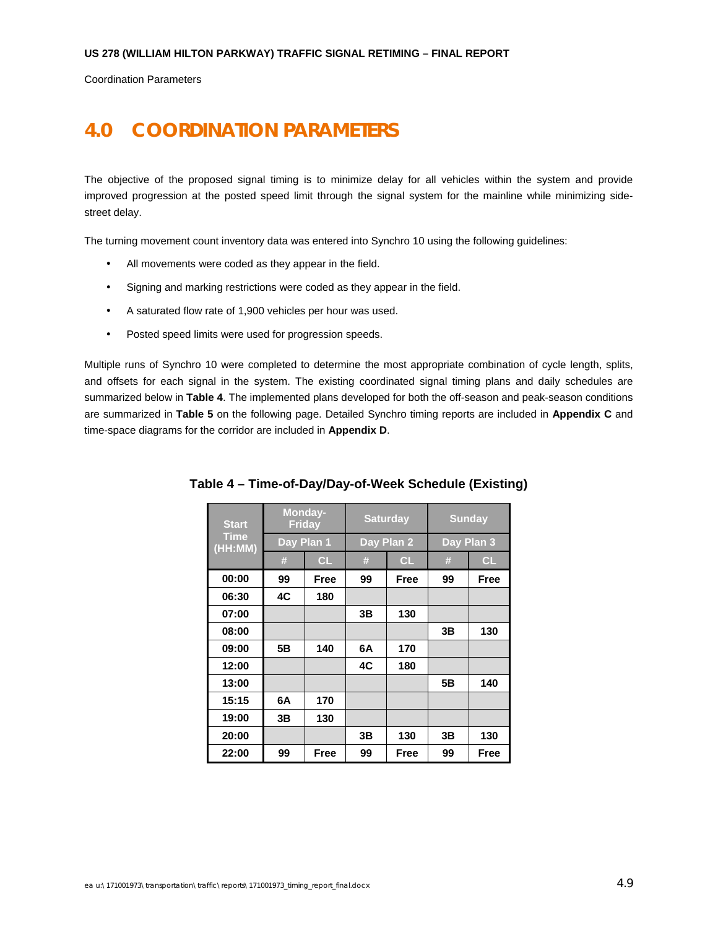Coordination Parameters

# **4.0 COORDINATION PARAMETERS**

The objective of the proposed signal timing is to minimize delay for all vehicles within the system and provide improved progression at the posted speed limit through the signal system for the mainline while minimizing sidestreet delay.

The turning movement count inventory data was entered into Synchro 10 using the following guidelines:

- All movements were coded as they appear in the field.
- Signing and marking restrictions were coded as they appear in the field.
- A saturated flow rate of 1,900 vehicles per hour was used.
- Posted speed limits were used for progression speeds.

Multiple runs of Synchro 10 were completed to determine the most appropriate combination of cycle length, splits, and offsets for each signal in the system. The existing coordinated signal timing plans and daily schedules are summarized below in **Table 4**. The implemented plans developed for both the off-season and peak-season conditions are summarized in **Table 5** on the following page. Detailed Synchro timing reports are included in **Appendix C** and time-space diagrams for the corridor are included in **Appendix D**.

| <b>Start</b>           |            | Monday-<br><b>Friday</b> |    | <b>Saturday</b> | <b>Sunday</b> |      |  |
|------------------------|------------|--------------------------|----|-----------------|---------------|------|--|
| <b>Time</b><br>(HH:MM) |            | Day Plan 1               |    | Day Plan 2      | Day Plan 3    |      |  |
|                        | #          | CL                       | #  | CL              | #             | CL   |  |
| 00:00                  | 99<br>Free |                          | 99 | Free            | 99            | Free |  |
| 06:30                  | 4C         | 180                      |    |                 |               |      |  |
| 07:00                  |            |                          | 3B | 130             |               |      |  |
| 08:00                  |            |                          |    |                 | 3Β            | 130  |  |
| 09:00                  | 5B         | 140                      | 6A | 170             |               |      |  |
| 12:00                  |            |                          | 4C | 180             |               |      |  |
| 13:00                  |            |                          |    |                 | 5Β            | 140  |  |
| 15:15                  | 6A         | 170                      |    |                 |               |      |  |
| 19:00                  | 3B         | 130                      |    |                 |               |      |  |
| 20:00                  |            |                          | 3Β | 130             | 3Β            | 130  |  |
| 22:00                  | 99         | Free                     | 99 | Free            | 99            | Free |  |

**Table 4 – Time-of-Day/Day-of-Week Schedule (Existing)**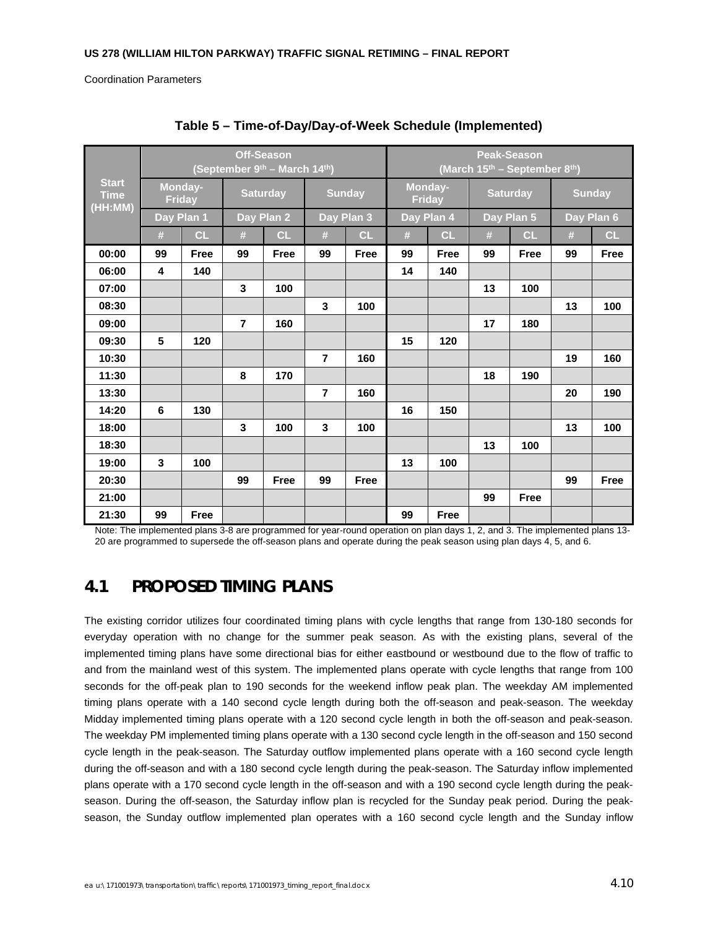Coordination Parameters

|                                        |    | <b>Off-Season</b><br>(September $9^{th}$ – March 14 <sup>th</sup> ) |                |                 |                         |               |                                         | <b>Peak-Season</b>       |    |                 |               |             |
|----------------------------------------|----|---------------------------------------------------------------------|----------------|-----------------|-------------------------|---------------|-----------------------------------------|--------------------------|----|-----------------|---------------|-------------|
|                                        |    |                                                                     |                |                 |                         |               | (March $15^{th}$ – September $8^{th}$ ) |                          |    |                 |               |             |
| <b>Start</b><br><b>Time</b><br>(HH:MM) |    | Monday-<br><b>Friday</b>                                            |                | <b>Saturday</b> |                         | <b>Sunday</b> |                                         | Monday-<br><b>Friday</b> |    | <b>Saturday</b> | <b>Sunday</b> |             |
|                                        |    | Day Plan 1                                                          | Day Plan 2     |                 | Day Plan 3              |               |                                         | Day Plan 4               |    | Day Plan 5      |               | Day Plan 6  |
|                                        | #  | <b>CL</b>                                                           | #              | CL              | #                       | CL            | #                                       | CL                       | #  | CL              | #             | CL          |
| 00:00                                  | 99 | <b>Free</b>                                                         | 99             | <b>Free</b>     | 99                      | <b>Free</b>   | 99                                      | <b>Free</b>              | 99 | Free            | 99            | <b>Free</b> |
| 06:00                                  | 4  | 140                                                                 |                |                 |                         |               | 14                                      | 140                      |    |                 |               |             |
| 07:00                                  |    |                                                                     | 3              | 100             |                         |               |                                         |                          | 13 | 100             |               |             |
| 08:30                                  |    |                                                                     |                |                 | $\overline{\mathbf{3}}$ | 100           |                                         |                          |    |                 | 13            | 100         |
| 09:00                                  |    |                                                                     | $\overline{7}$ | 160             |                         |               |                                         |                          | 17 | 180             |               |             |
| 09:30                                  | 5  | 120                                                                 |                |                 |                         |               | 15                                      | 120                      |    |                 |               |             |
| 10:30                                  |    |                                                                     |                |                 | $\overline{7}$          | 160           |                                         |                          |    |                 | 19            | 160         |
| 11:30                                  |    |                                                                     | 8              | 170             |                         |               |                                         |                          | 18 | 190             |               |             |
| 13:30                                  |    |                                                                     |                |                 | $\overline{7}$          | 160           |                                         |                          |    |                 | 20            | 190         |
| 14:20                                  | 6  | 130                                                                 |                |                 |                         |               | 16                                      | 150                      |    |                 |               |             |
| 18:00                                  |    |                                                                     | 3              | 100             | $\mathbf{3}$            | 100           |                                         |                          |    |                 | 13            | 100         |
| 18:30                                  |    |                                                                     |                |                 |                         |               |                                         |                          | 13 | 100             |               |             |
| 19:00                                  | 3  | 100                                                                 |                |                 |                         |               | 13                                      | 100                      |    |                 |               |             |
| 20:30                                  |    |                                                                     | 99             | Free            | 99                      | Free          |                                         |                          |    |                 | 99            | Free        |
| 21:00                                  |    |                                                                     |                |                 |                         |               |                                         |                          | 99 | <b>Free</b>     |               |             |
| 21:30                                  | 99 | Free                                                                |                |                 |                         |               | 99                                      | Free                     |    |                 |               |             |

**Table 5 – Time-of-Day/Day-of-Week Schedule (Implemented)** 

Note: The implemented plans 3-8 are programmed for year-round operation on plan days 1, 2, and 3. The implemented plans 13- 20 are programmed to supersede the off-season plans and operate during the peak season using plan days 4, 5, and 6.

## **4.1 PROPOSED TIMING PLANS**

The existing corridor utilizes four coordinated timing plans with cycle lengths that range from 130-180 seconds for everyday operation with no change for the summer peak season. As with the existing plans, several of the implemented timing plans have some directional bias for either eastbound or westbound due to the flow of traffic to and from the mainland west of this system. The implemented plans operate with cycle lengths that range from 100 seconds for the off-peak plan to 190 seconds for the weekend inflow peak plan. The weekday AM implemented timing plans operate with a 140 second cycle length during both the off-season and peak-season. The weekday Midday implemented timing plans operate with a 120 second cycle length in both the off-season and peak-season. The weekday PM implemented timing plans operate with a 130 second cycle length in the off-season and 150 second cycle length in the peak-season. The Saturday outflow implemented plans operate with a 160 second cycle length during the off-season and with a 180 second cycle length during the peak-season. The Saturday inflow implemented plans operate with a 170 second cycle length in the off-season and with a 190 second cycle length during the peakseason. During the off-season, the Saturday inflow plan is recycled for the Sunday peak period. During the peakseason, the Sunday outflow implemented plan operates with a 160 second cycle length and the Sunday inflow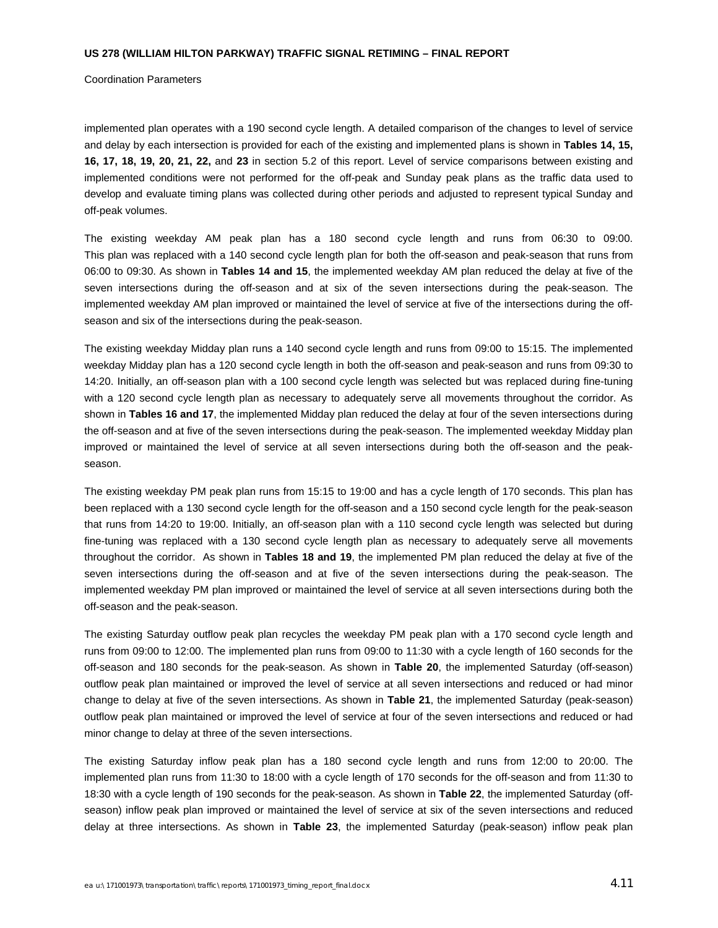#### Coordination Parameters

implemented plan operates with a 190 second cycle length. A detailed comparison of the changes to level of service and delay by each intersection is provided for each of the existing and implemented plans is shown in **Tables 14, 15, 16, 17, 18, 19, 20, 21, 22,** and **23** in section 5.2 of this report. Level of service comparisons between existing and implemented conditions were not performed for the off-peak and Sunday peak plans as the traffic data used to develop and evaluate timing plans was collected during other periods and adjusted to represent typical Sunday and off-peak volumes.

The existing weekday AM peak plan has a 180 second cycle length and runs from 06:30 to 09:00. This plan was replaced with a 140 second cycle length plan for both the off-season and peak-season that runs from 06:00 to 09:30. As shown in **Tables 14 and 15**, the implemented weekday AM plan reduced the delay at five of the seven intersections during the off-season and at six of the seven intersections during the peak-season. The implemented weekday AM plan improved or maintained the level of service at five of the intersections during the offseason and six of the intersections during the peak-season.

The existing weekday Midday plan runs a 140 second cycle length and runs from 09:00 to 15:15. The implemented weekday Midday plan has a 120 second cycle length in both the off-season and peak-season and runs from 09:30 to 14:20. Initially, an off-season plan with a 100 second cycle length was selected but was replaced during fine-tuning with a 120 second cycle length plan as necessary to adequately serve all movements throughout the corridor. As shown in **Tables 16 and 17**, the implemented Midday plan reduced the delay at four of the seven intersections during the off-season and at five of the seven intersections during the peak-season. The implemented weekday Midday plan improved or maintained the level of service at all seven intersections during both the off-season and the peakseason.

The existing weekday PM peak plan runs from 15:15 to 19:00 and has a cycle length of 170 seconds. This plan has been replaced with a 130 second cycle length for the off-season and a 150 second cycle length for the peak-season that runs from 14:20 to 19:00. Initially, an off-season plan with a 110 second cycle length was selected but during fine-tuning was replaced with a 130 second cycle length plan as necessary to adequately serve all movements throughout the corridor. As shown in **Tables 18 and 19**, the implemented PM plan reduced the delay at five of the seven intersections during the off-season and at five of the seven intersections during the peak-season. The implemented weekday PM plan improved or maintained the level of service at all seven intersections during both the off-season and the peak-season.

The existing Saturday outflow peak plan recycles the weekday PM peak plan with a 170 second cycle length and runs from 09:00 to 12:00. The implemented plan runs from 09:00 to 11:30 with a cycle length of 160 seconds for the off-season and 180 seconds for the peak-season. As shown in **Table 20**, the implemented Saturday (off-season) outflow peak plan maintained or improved the level of service at all seven intersections and reduced or had minor change to delay at five of the seven intersections. As shown in **Table 21**, the implemented Saturday (peak-season) outflow peak plan maintained or improved the level of service at four of the seven intersections and reduced or had minor change to delay at three of the seven intersections.

The existing Saturday inflow peak plan has a 180 second cycle length and runs from 12:00 to 20:00. The implemented plan runs from 11:30 to 18:00 with a cycle length of 170 seconds for the off-season and from 11:30 to 18:30 with a cycle length of 190 seconds for the peak-season. As shown in **Table 22**, the implemented Saturday (offseason) inflow peak plan improved or maintained the level of service at six of the seven intersections and reduced delay at three intersections. As shown in **Table 23**, the implemented Saturday (peak-season) inflow peak plan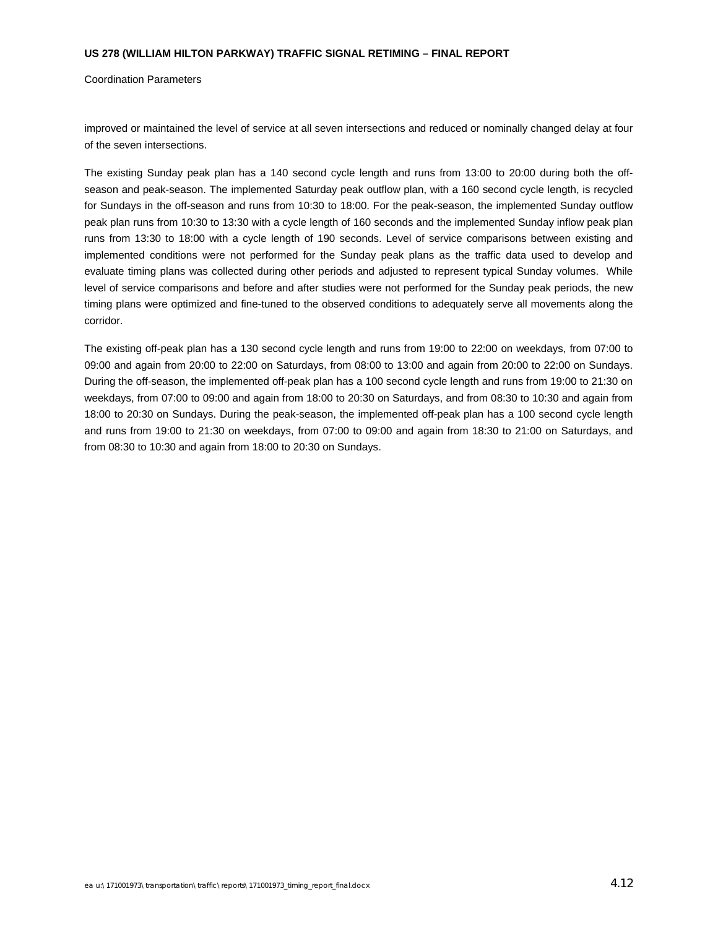Coordination Parameters

improved or maintained the level of service at all seven intersections and reduced or nominally changed delay at four of the seven intersections.

The existing Sunday peak plan has a 140 second cycle length and runs from 13:00 to 20:00 during both the offseason and peak-season. The implemented Saturday peak outflow plan, with a 160 second cycle length, is recycled for Sundays in the off-season and runs from 10:30 to 18:00. For the peak-season, the implemented Sunday outflow peak plan runs from 10:30 to 13:30 with a cycle length of 160 seconds and the implemented Sunday inflow peak plan runs from 13:30 to 18:00 with a cycle length of 190 seconds. Level of service comparisons between existing and implemented conditions were not performed for the Sunday peak plans as the traffic data used to develop and evaluate timing plans was collected during other periods and adjusted to represent typical Sunday volumes. While level of service comparisons and before and after studies were not performed for the Sunday peak periods, the new timing plans were optimized and fine-tuned to the observed conditions to adequately serve all movements along the corridor.

The existing off-peak plan has a 130 second cycle length and runs from 19:00 to 22:00 on weekdays, from 07:00 to 09:00 and again from 20:00 to 22:00 on Saturdays, from 08:00 to 13:00 and again from 20:00 to 22:00 on Sundays. During the off-season, the implemented off-peak plan has a 100 second cycle length and runs from 19:00 to 21:30 on weekdays, from 07:00 to 09:00 and again from 18:00 to 20:30 on Saturdays, and from 08:30 to 10:30 and again from 18:00 to 20:30 on Sundays. During the peak-season, the implemented off-peak plan has a 100 second cycle length and runs from 19:00 to 21:30 on weekdays, from 07:00 to 09:00 and again from 18:30 to 21:00 on Saturdays, and from 08:30 to 10:30 and again from 18:00 to 20:30 on Sundays.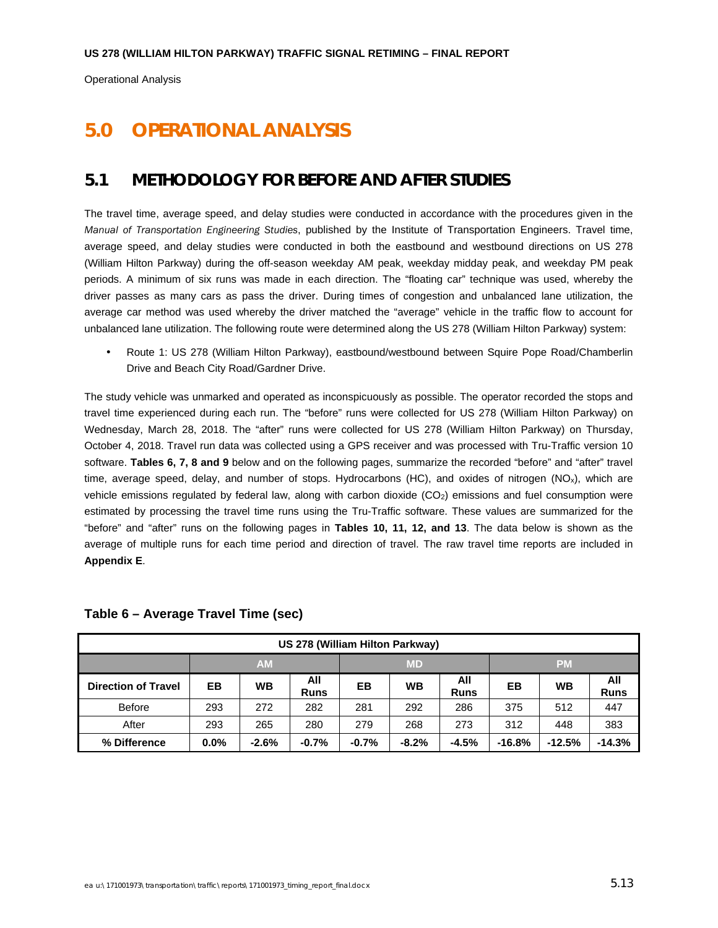# **5.0 OPERATIONAL ANALYSIS**

## **5.1 METHODOLOGY FOR BEFORE AND AFTER STUDIES**

The travel time, average speed, and delay studies were conducted in accordance with the procedures given in the *Manual of Transportation Engineering Studies*, published by the Institute of Transportation Engineers. Travel time, average speed, and delay studies were conducted in both the eastbound and westbound directions on US 278 (William Hilton Parkway) during the off-season weekday AM peak, weekday midday peak, and weekday PM peak periods. A minimum of six runs was made in each direction. The "floating car" technique was used, whereby the driver passes as many cars as pass the driver. During times of congestion and unbalanced lane utilization, the average car method was used whereby the driver matched the "average" vehicle in the traffic flow to account for unbalanced lane utilization. The following route were determined along the US 278 (William Hilton Parkway) system:

• Route 1: US 278 (William Hilton Parkway), eastbound/westbound between Squire Pope Road/Chamberlin Drive and Beach City Road/Gardner Drive.

The study vehicle was unmarked and operated as inconspicuously as possible. The operator recorded the stops and travel time experienced during each run. The "before" runs were collected for US 278 (William Hilton Parkway) on Wednesday, March 28, 2018. The "after" runs were collected for US 278 (William Hilton Parkway) on Thursday, October 4, 2018. Travel run data was collected using a GPS receiver and was processed with Tru-Traffic version 10 software. **Tables 6, 7, 8 and 9** below and on the following pages, summarize the recorded "before" and "after" travel time, average speed, delay, and number of stops. Hydrocarbons (HC), and oxides of nitrogen (NO<sub>x</sub>), which are vehicle emissions regulated by federal law, along with carbon dioxide (CO<sub>2</sub>) emissions and fuel consumption were estimated by processing the travel time runs using the Tru-Traffic software. These values are summarized for the "before" and "after" runs on the following pages in **Tables 10, 11, 12, and 13**. The data below is shown as the average of multiple runs for each time period and direction of travel. The raw travel time reports are included in **Appendix E**.

| US 278 (William Hilton Parkway) |         |                        |                    |         |           |                    |          |           |                    |  |
|---------------------------------|---------|------------------------|--------------------|---------|-----------|--------------------|----------|-----------|--------------------|--|
|                                 |         | <b>AM</b><br><b>MD</b> |                    |         |           |                    |          | <b>PM</b> |                    |  |
| <b>Direction of Travel</b>      | EB      | <b>WB</b>              | All<br><b>Runs</b> | EВ      | <b>WB</b> | All<br><b>Runs</b> | EВ       | <b>WB</b> | All<br><b>Runs</b> |  |
| <b>Before</b>                   | 293     | 272                    | 282                | 281     | 292       | 286                | 375      | 512       | 447                |  |
| After                           | 293     | 265                    | 280                | 279     | 268       | 273                | 312      | 448       | 383                |  |
| % Difference                    | $0.0\%$ | $-2.6%$                | $-0.7%$            | $-0.7%$ | $-8.2%$   | $-4.5%$            | $-16.8%$ | $-12.5%$  | $-14.3%$           |  |

#### **Table 6 – Average Travel Time (sec)**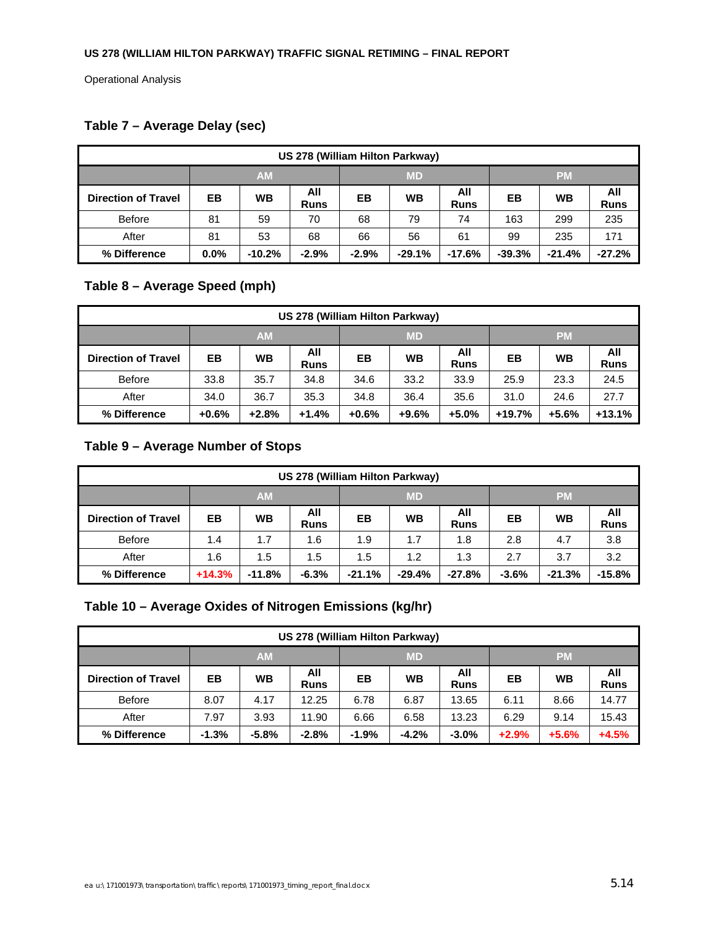# **Table 7 – Average Delay (sec)**

| US 278 (William Hilton Parkway) |                        |           |                    |         |           |                    |          |          |                    |  |
|---------------------------------|------------------------|-----------|--------------------|---------|-----------|--------------------|----------|----------|--------------------|--|
|                                 | <b>AM</b><br><b>MD</b> |           |                    |         | <b>PM</b> |                    |          |          |                    |  |
| <b>Direction of Travel</b>      | EВ                     | <b>WB</b> | All<br><b>Runs</b> | EВ      | <b>WB</b> | All<br><b>Runs</b> | EВ       | WB       | All<br><b>Runs</b> |  |
| <b>Before</b>                   | 81                     | 59        | 70                 | 68      | 79        | 74                 | 163      | 299      | 235                |  |
| After                           | 81                     | 53        | 68                 | 66      | 56        | 61                 | 99       | 235      | 171                |  |
| % Difference                    | $0.0\%$                | $-10.2%$  | $-2.9%$            | $-2.9%$ | $-29.1%$  | $-17.6%$           | $-39.3%$ | $-21.4%$ | $-27.2%$           |  |

## **Table 8 – Average Speed (mph)**

| US 278 (William Hilton Parkway) |         |                                     |                    |         |           |                    |          |         |                    |
|---------------------------------|---------|-------------------------------------|--------------------|---------|-----------|--------------------|----------|---------|--------------------|
|                                 |         | <b>AM</b><br><b>MD</b><br><b>PM</b> |                    |         |           |                    |          |         |                    |
| <b>Direction of Travel</b>      | EВ      | <b>WB</b>                           | All<br><b>Runs</b> | EВ      | <b>WB</b> | All<br><b>Runs</b> | EВ       | WB      | All<br><b>Runs</b> |
| <b>Before</b>                   | 33.8    | 35.7                                | 34.8               | 34.6    | 33.2      | 33.9               | 25.9     | 23.3    | 24.5               |
| After                           | 34.0    | 36.7                                | 35.3               | 34.8    | 36.4      | 35.6               | 31.0     | 24.6    | 27.7               |
| % Difference                    | $+0.6%$ | $+2.8%$                             | $+1.4%$            | $+0.6%$ | $+9.6%$   | $+5.0%$            | $+19.7%$ | $+5.6%$ | $+13.1%$           |

## **Table 9 – Average Number of Stops**

| US 278 (William Hilton Parkway) |                                     |           |                    |          |           |                    |         |           |                    |
|---------------------------------|-------------------------------------|-----------|--------------------|----------|-----------|--------------------|---------|-----------|--------------------|
|                                 | <b>AM</b><br><b>MD</b><br><b>PM</b> |           |                    |          |           |                    |         |           |                    |
| <b>Direction of Travel</b>      | EВ                                  | <b>WB</b> | All<br><b>Runs</b> | EВ       | <b>WB</b> | All<br><b>Runs</b> | EВ      | <b>WB</b> | All<br><b>Runs</b> |
| <b>Before</b>                   | 1.4                                 | 1.7       | 1.6                | 1.9      | 1.7       | 1.8                | 2.8     | 4.7       | 3.8                |
| After                           | 1.6                                 | 1.5       | 1.5                | 1.5      | 1.2       | 1.3                | 2.7     | 3.7       | 3.2                |
| % Difference                    | $+14.3%$                            | $-11.8%$  | $-6.3%$            | $-21.1%$ | $-29.4%$  | $-27.8%$           | $-3.6%$ | $-21.3%$  | $-15.8%$           |

## **Table 10 – Average Oxides of Nitrogen Emissions (kg/hr)**

| US 278 (William Hilton Parkway) |                                     |           |                    |         |           |                    |         |           |                    |
|---------------------------------|-------------------------------------|-----------|--------------------|---------|-----------|--------------------|---------|-----------|--------------------|
|                                 | <b>AM</b><br><b>MD</b><br><b>PM</b> |           |                    |         |           |                    |         |           |                    |
| <b>Direction of Travel</b>      | EВ                                  | <b>WB</b> | All<br><b>Runs</b> | EВ      | <b>WB</b> | All<br><b>Runs</b> | EВ      | <b>WB</b> | All<br><b>Runs</b> |
| <b>Before</b>                   | 8.07                                | 4.17      | 12.25              | 6.78    | 6.87      | 13.65              | 6.11    | 8.66      | 14.77              |
| After                           | 7.97                                | 3.93      | 11.90              | 6.66    | 6.58      | 13.23              | 6.29    | 9.14      | 15.43              |
| % Difference                    | $-1.3%$                             | $-5.8%$   | $-2.8%$            | $-1.9%$ | $-4.2%$   | $-3.0%$            | $+2.9%$ | $+5.6%$   | $+4.5%$            |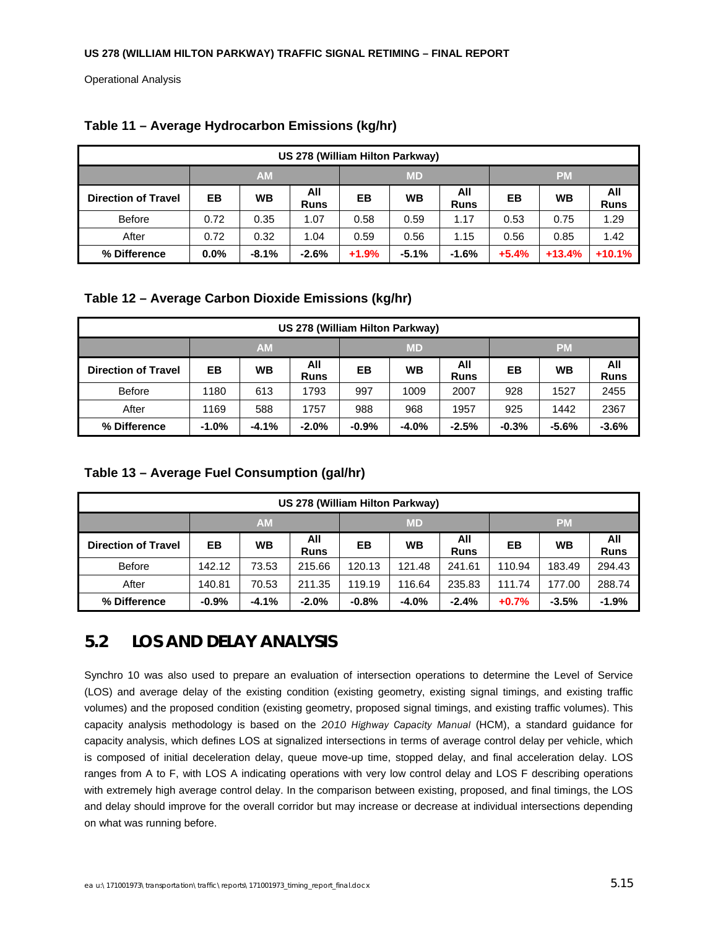| US 278 (William Hilton Parkway) |                                     |         |                    |         |           |                    |         |           |                    |
|---------------------------------|-------------------------------------|---------|--------------------|---------|-----------|--------------------|---------|-----------|--------------------|
|                                 | <b>AM</b><br><b>MD</b><br><b>PM</b> |         |                    |         |           |                    |         |           |                    |
| <b>Direction of Travel</b>      | EВ                                  | WВ      | All<br><b>Runs</b> | EВ      | <b>WB</b> | All<br><b>Runs</b> | EB      | <b>WB</b> | All<br><b>Runs</b> |
| <b>Before</b>                   | 0.72                                | 0.35    | 1.07               | 0.58    | 0.59      | 1.17               | 0.53    | 0.75      | 1.29               |
| After                           | 0.72                                | 0.32    | 1.04               | 0.59    | 0.56      | 1.15               | 0.56    | 0.85      | 1.42               |
| % Difference                    | $0.0\%$                             | $-8.1%$ | $-2.6%$            | $+1.9%$ | $-5.1%$   | $-1.6%$            | $+5.4%$ | $+13.4%$  | $+10.1%$           |

### **Table 11 – Average Hydrocarbon Emissions (kg/hr)**

### **Table 12 – Average Carbon Dioxide Emissions (kg/hr)**

| US 278 (William Hilton Parkway) |         |                        |                    |         |           |                    |         |           |                    |
|---------------------------------|---------|------------------------|--------------------|---------|-----------|--------------------|---------|-----------|--------------------|
|                                 |         | <b>AM</b><br><b>MD</b> |                    |         |           |                    |         | <b>PM</b> |                    |
| <b>Direction of Travel</b>      | EB      | WВ                     | All<br><b>Runs</b> | EВ      | <b>WB</b> | All<br><b>Runs</b> | EВ      | WB        | All<br><b>Runs</b> |
| <b>Before</b>                   | 1180    | 613                    | 1793               | 997     | 1009      | 2007               | 928     | 1527      | 2455               |
| After<br>588<br>1169            |         |                        | 1757               | 988     | 968       | 1957               | 925     | 1442      | 2367               |
| % Difference                    | $-1.0%$ | $-4.1%$                | $-2.0%$            | $-0.9%$ | $-4.0%$   | $-2.5%$            | $-0.3%$ | $-5.6%$   | $-3.6%$            |

### **Table 13 – Average Fuel Consumption (gal/hr)**

| US 278 (William Hilton Parkway) |         |                        |                    |         |           |                    |         |           |                    |
|---------------------------------|---------|------------------------|--------------------|---------|-----------|--------------------|---------|-----------|--------------------|
|                                 |         | <b>AM</b><br><b>MD</b> |                    |         |           |                    |         | <b>PM</b> |                    |
| <b>Direction of Travel</b>      | EB      | <b>WB</b>              | All<br><b>Runs</b> | EВ      | <b>WB</b> | All<br><b>Runs</b> | EВ      | <b>WB</b> | All<br><b>Runs</b> |
| <b>Before</b>                   | 142.12  | 73.53                  | 215.66             | 120.13  | 121.48    | 241.61             | 110.94  | 183.49    | 294.43             |
| After                           | 140.81  | 70.53                  | 211.35             | 119.19  | 116.64    | 235.83             | 111.74  | 177.00    | 288.74             |
| % Difference                    | $-0.9%$ | $-4.1%$                | $-2.0%$            | $-0.8%$ | $-4.0%$   | $-2.4%$            | $+0.7%$ | $-3.5%$   | $-1.9%$            |

# **5.2 LOS AND DELAY ANALYSIS**

Synchro 10 was also used to prepare an evaluation of intersection operations to determine the Level of Service (LOS) and average delay of the existing condition (existing geometry, existing signal timings, and existing traffic volumes) and the proposed condition (existing geometry, proposed signal timings, and existing traffic volumes). This capacity analysis methodology is based on the *2010 Highway Capacity Manual* (HCM), a standard guidance for capacity analysis, which defines LOS at signalized intersections in terms of average control delay per vehicle, which is composed of initial deceleration delay, queue move-up time, stopped delay, and final acceleration delay. LOS ranges from A to F, with LOS A indicating operations with very low control delay and LOS F describing operations with extremely high average control delay. In the comparison between existing, proposed, and final timings, the LOS and delay should improve for the overall corridor but may increase or decrease at individual intersections depending on what was running before.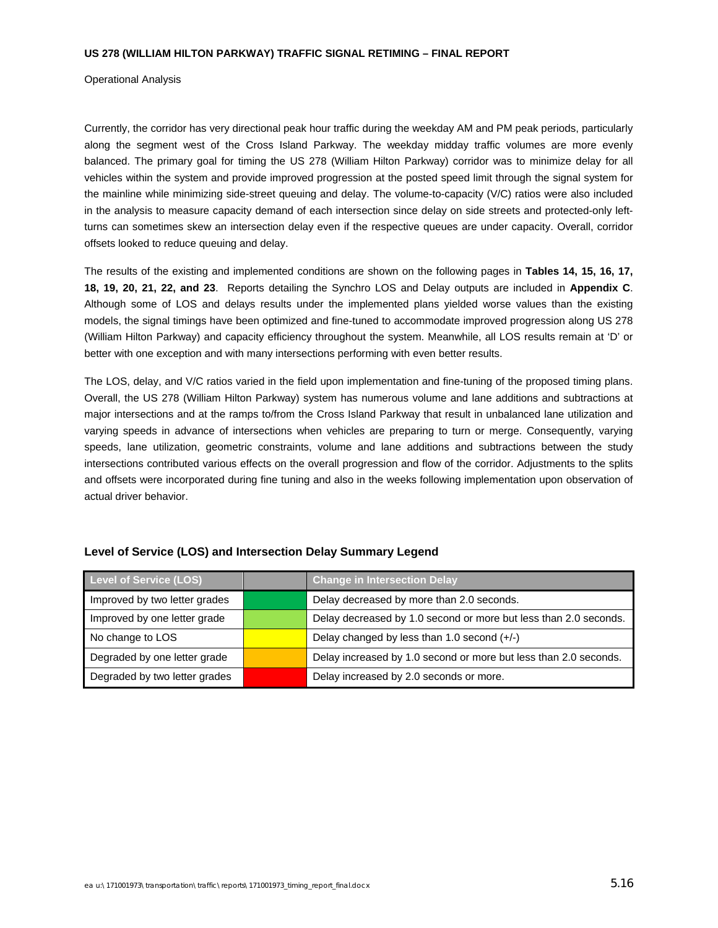Operational Analysis

Currently, the corridor has very directional peak hour traffic during the weekday AM and PM peak periods, particularly along the segment west of the Cross Island Parkway. The weekday midday traffic volumes are more evenly balanced. The primary goal for timing the US 278 (William Hilton Parkway) corridor was to minimize delay for all vehicles within the system and provide improved progression at the posted speed limit through the signal system for the mainline while minimizing side-street queuing and delay. The volume-to-capacity (V/C) ratios were also included in the analysis to measure capacity demand of each intersection since delay on side streets and protected-only leftturns can sometimes skew an intersection delay even if the respective queues are under capacity. Overall, corridor offsets looked to reduce queuing and delay.

The results of the existing and implemented conditions are shown on the following pages in **Tables 14, 15, 16, 17, 18, 19, 20, 21, 22, and 23**. Reports detailing the Synchro LOS and Delay outputs are included in **Appendix C**. Although some of LOS and delays results under the implemented plans yielded worse values than the existing models, the signal timings have been optimized and fine-tuned to accommodate improved progression along US 278 (William Hilton Parkway) and capacity efficiency throughout the system. Meanwhile, all LOS results remain at 'D' or better with one exception and with many intersections performing with even better results.

The LOS, delay, and V/C ratios varied in the field upon implementation and fine-tuning of the proposed timing plans. Overall, the US 278 (William Hilton Parkway) system has numerous volume and lane additions and subtractions at major intersections and at the ramps to/from the Cross Island Parkway that result in unbalanced lane utilization and varying speeds in advance of intersections when vehicles are preparing to turn or merge. Consequently, varying speeds, lane utilization, geometric constraints, volume and lane additions and subtractions between the study intersections contributed various effects on the overall progression and flow of the corridor. Adjustments to the splits and offsets were incorporated during fine tuning and also in the weeks following implementation upon observation of actual driver behavior.

| Level of Service (LOS)        | <b>Change in Intersection Delay</b>                              |
|-------------------------------|------------------------------------------------------------------|
| Improved by two letter grades | Delay decreased by more than 2.0 seconds.                        |
| Improved by one letter grade  | Delay decreased by 1.0 second or more but less than 2.0 seconds. |
| No change to LOS              | Delay changed by less than 1.0 second $(+/-)$                    |
| Degraded by one letter grade  | Delay increased by 1.0 second or more but less than 2.0 seconds. |
| Degraded by two letter grades | Delay increased by 2.0 seconds or more.                          |

#### **Level of Service (LOS) and Intersection Delay Summary Legend**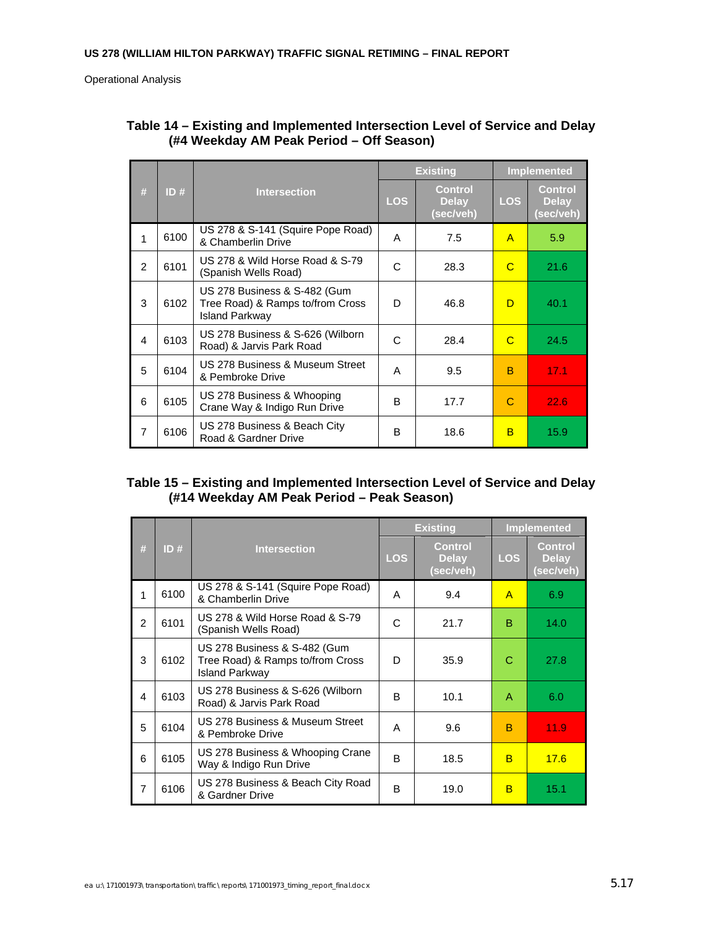|               |      |                                                                                           |            | <b>Existing</b>                             | <b>Implemented</b> |                                             |  |
|---------------|------|-------------------------------------------------------------------------------------------|------------|---------------------------------------------|--------------------|---------------------------------------------|--|
| #             | ID#  | <b>Intersection</b>                                                                       | <b>LOS</b> | <b>Control</b><br><b>Delay</b><br>(sec/veh) | <b>LOS</b>         | <b>Control</b><br><b>Delay</b><br>(sec/veh) |  |
| 1             | 6100 | US 278 & S-141 (Squire Pope Road)<br>& Chamberlin Drive                                   | A          | 7.5                                         | A                  | 5.9                                         |  |
| $\mathcal{P}$ | 6101 | US 278 & Wild Horse Road & S-79<br>(Spanish Wells Road)                                   | C          | 28.3                                        | C                  | 21.6                                        |  |
| 3             | 6102 | US 278 Business & S-482 (Gum<br>Tree Road) & Ramps to/from Cross<br><b>Island Parkway</b> | D          | 46.8                                        | D                  | 40.1                                        |  |
| 4             | 6103 | US 278 Business & S-626 (Wilborn<br>Road) & Jarvis Park Road                              | C          | 28.4                                        | C                  | 24.5                                        |  |
| 5             | 6104 | US 278 Business & Museum Street<br>& Pembroke Drive                                       | A          | 9.5                                         | B                  | 17.1                                        |  |
| 6             | 6105 | US 278 Business & Whooping<br>Crane Way & Indigo Run Drive                                | B          | 17.7                                        | С                  | 22.6                                        |  |
| 7             | 6106 | US 278 Business & Beach City<br>Road & Gardner Drive                                      | B          | 18.6                                        | B                  | 15.9                                        |  |

### **Table 14 – Existing and Implemented Intersection Level of Service and Delay (#4 Weekday AM Peak Period – Off Season)**

#### **Table 15 – Existing and Implemented Intersection Level of Service and Delay (#14 Weekday AM Peak Period – Peak Season)**

|                         |      |                                                                                           |            | <b>Existing</b>                             |              | <b>Implemented</b>                          |
|-------------------------|------|-------------------------------------------------------------------------------------------|------------|---------------------------------------------|--------------|---------------------------------------------|
| #                       | ID#  | <b>Intersection</b>                                                                       | <b>LOS</b> | <b>Control</b><br><b>Delay</b><br>(sec/veh) | <b>LOS</b>   | <b>Control</b><br><b>Delay</b><br>(sec/veh) |
| 1                       | 6100 | US 278 & S-141 (Squire Pope Road)<br>& Chamberlin Drive                                   | A          | 9.4                                         | $\mathsf{A}$ | 6.9                                         |
| $\overline{2}$          | 6101 | US 278 & Wild Horse Road & S-79<br>(Spanish Wells Road)                                   | C          | 21.7                                        | B            | 14.0                                        |
| 3                       | 6102 | US 278 Business & S-482 (Gum<br>Tree Road) & Ramps to/from Cross<br><b>Island Parkway</b> | D          | 35.9                                        | С            | 27.8                                        |
| $\overline{\mathbf{4}}$ | 6103 | US 278 Business & S-626 (Wilborn<br>Road) & Jarvis Park Road                              | B          | 10.1                                        | A            | 6.0                                         |
| 5                       | 6104 | US 278 Business & Museum Street<br>& Pembroke Drive                                       | A          | 9.6                                         | B            | 11.9                                        |
| 6                       | 6105 | US 278 Business & Whooping Crane<br>Way & Indigo Run Drive                                | B          | 18.5                                        | B            | 17.6                                        |
| $\overline{7}$          | 6106 | US 278 Business & Beach City Road<br>& Gardner Drive                                      | B          | 19.0                                        | B            | 15.1                                        |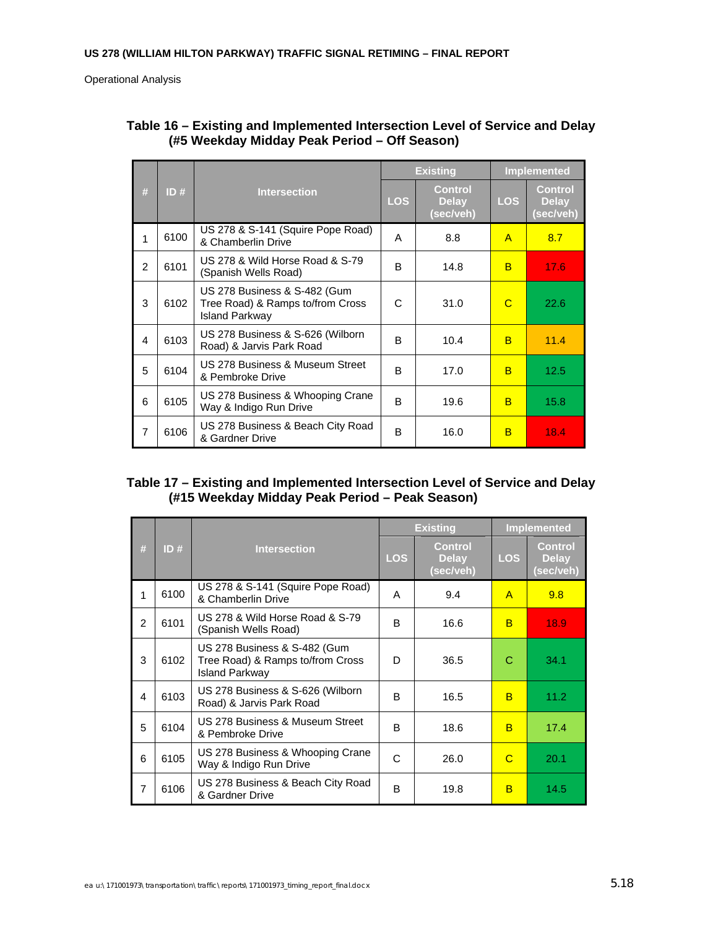|                |      |                                                                                           |            | <b>Existing</b>                             | <b>Implemented</b> |                                             |  |
|----------------|------|-------------------------------------------------------------------------------------------|------------|---------------------------------------------|--------------------|---------------------------------------------|--|
| #              | ID#  | <b>Intersection</b>                                                                       | <b>LOS</b> | <b>Control</b><br><b>Delay</b><br>(sec/veh) | <b>LOS</b>         | <b>Control</b><br><b>Delay</b><br>(sec/veh) |  |
| 1              | 6100 | US 278 & S-141 (Squire Pope Road)<br>& Chamberlin Drive                                   | A          | 8.8                                         | $\mathsf{A}$       | 8.7                                         |  |
| $\mathcal{P}$  | 6101 | US 278 & Wild Horse Road & S-79<br>(Spanish Wells Road)                                   | B          | 14.8                                        | B                  | 17.6                                        |  |
| 3              | 6102 | US 278 Business & S-482 (Gum<br>Tree Road) & Ramps to/from Cross<br><b>Island Parkway</b> | C          | 31.0                                        | C                  | 22.6                                        |  |
| 4              | 6103 | US 278 Business & S-626 (Wilborn<br>Road) & Jarvis Park Road                              | B          | 10.4                                        | B                  | 11.4                                        |  |
| 5              | 6104 | US 278 Business & Museum Street<br>& Pembroke Drive                                       | B          | 17.0                                        | B                  | 12.5                                        |  |
| 6              | 6105 | US 278 Business & Whooping Crane<br>Way & Indigo Run Drive                                | B          | 19.6                                        | B                  | 15.8                                        |  |
| $\overline{7}$ | 6106 | US 278 Business & Beach City Road<br>& Gardner Drive                                      | B          | 16.0                                        | B                  | 18.4                                        |  |

### **Table 16 – Existing and Implemented Intersection Level of Service and Delay (#5 Weekday Midday Peak Period – Off Season)**

## **Table 17 – Existing and Implemented Intersection Level of Service and Delay (#15 Weekday Midday Peak Period – Peak Season)**

|                        |      |                                                                                           |              | <b>Existing</b>                             |              | <b>Implemented</b>                          |
|------------------------|------|-------------------------------------------------------------------------------------------|--------------|---------------------------------------------|--------------|---------------------------------------------|
| #                      | ID#  | <b>Intersection</b>                                                                       | <b>LOS</b>   | <b>Control</b><br><b>Delay</b><br>(sec/veh) | <b>LOS</b>   | <b>Control</b><br><b>Delay</b><br>(sec/veh) |
| 1                      | 6100 | US 278 & S-141 (Squire Pope Road)<br>& Chamberlin Drive                                   | A            | 9.4                                         | $\mathsf{A}$ | 9.8                                         |
| $\overline{2}$         | 6101 | US 278 & Wild Horse Road & S-79<br>(Spanish Wells Road)                                   | B            | 16.6                                        | B            | 18.9                                        |
| 3                      | 6102 | US 278 Business & S-482 (Gum<br>Tree Road) & Ramps to/from Cross<br><b>Island Parkway</b> | D            | 36.5                                        | С            | 34.1                                        |
| $\boldsymbol{\Lambda}$ | 6103 | US 278 Business & S-626 (Wilborn<br>Road) & Jarvis Park Road                              | <sub>R</sub> | 16.5                                        | B            | 11.2                                        |
| 5                      | 6104 | US 278 Business & Museum Street<br>& Pembroke Drive                                       | B            | 18.6                                        | B            | 17.4                                        |
| 6                      | 6105 | US 278 Business & Whooping Crane<br>Way & Indigo Run Drive                                | C            | 26.0                                        | C            | 20.1                                        |
| $\overline{7}$         | 6106 | US 278 Business & Beach City Road<br>& Gardner Drive                                      | B            | 19.8                                        | в            | 14.5                                        |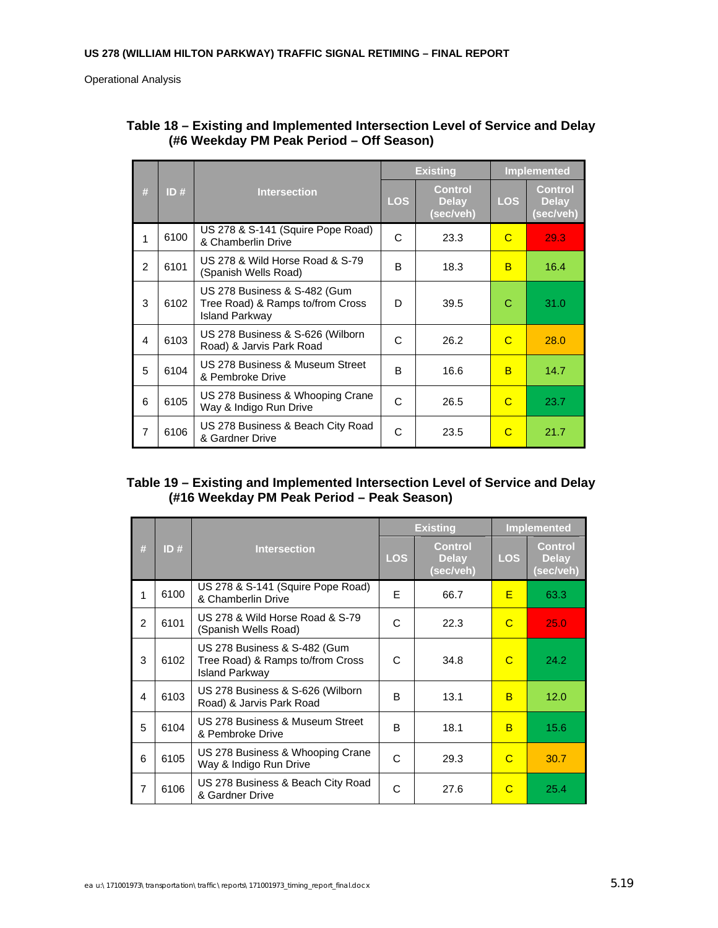|                |      |                                                                                           |            | <b>Existing</b>                             | <b>Implemented</b> |                                      |  |
|----------------|------|-------------------------------------------------------------------------------------------|------------|---------------------------------------------|--------------------|--------------------------------------|--|
| #              | ID#  | <b>Intersection</b>                                                                       | <b>LOS</b> | <b>Control</b><br><b>Delay</b><br>(sec/veh) | <b>LOS</b>         | Control<br><b>Delay</b><br>(sec/veh) |  |
| 1              | 6100 | US 278 & S-141 (Squire Pope Road)<br>& Chamberlin Drive                                   | C          | 23.3                                        | C                  | 29.3                                 |  |
| 2              | 6101 | US 278 & Wild Horse Road & S-79<br>(Spanish Wells Road)                                   | B          | 18.3                                        | B                  | 16.4                                 |  |
| 3              | 6102 | US 278 Business & S-482 (Gum<br>Tree Road) & Ramps to/from Cross<br><b>Island Parkway</b> | D.         | 39.5                                        | C                  | 31.0                                 |  |
| $\overline{4}$ | 6103 | US 278 Business & S-626 (Wilborn<br>Road) & Jarvis Park Road                              | C          | 26.2                                        | C                  | 28.0                                 |  |
| 5              | 6104 | US 278 Business & Museum Street<br>& Pembroke Drive                                       | R          | 16.6                                        | B                  | 14.7                                 |  |
| 6              | 6105 | US 278 Business & Whooping Crane<br>Way & Indigo Run Drive                                | C          | 26.5                                        | C                  | 23.7                                 |  |
| $\overline{7}$ | 6106 | US 278 Business & Beach City Road<br>& Gardner Drive                                      | C          | 23.5                                        | C                  | 21.7                                 |  |

### **Table 18 – Existing and Implemented Intersection Level of Service and Delay (#6 Weekday PM Peak Period – Off Season)**

### **Table 19 – Existing and Implemented Intersection Level of Service and Delay (#16 Weekday PM Peak Period – Peak Season)**

|                         |      |                                                                                           |              | <b>Existing</b>                             |            | <b>Implemented</b>                          |  |
|-------------------------|------|-------------------------------------------------------------------------------------------|--------------|---------------------------------------------|------------|---------------------------------------------|--|
| #                       | ID#  | <b>Intersection</b>                                                                       | <b>LOS</b>   | <b>Control</b><br><b>Delay</b><br>(sec/veh) | <b>LOS</b> | <b>Control</b><br><b>Delay</b><br>(sec/veh) |  |
| 1                       | 6100 | US 278 & S-141 (Squire Pope Road)<br>& Chamberlin Drive                                   | E            | 66.7                                        | F          | 63.3                                        |  |
| 2                       | 6101 | US 278 & Wild Horse Road & S-79<br>(Spanish Wells Road)                                   | C            | 22.3                                        | C          | 25.0                                        |  |
| 3                       | 6102 | US 278 Business & S-482 (Gum<br>Tree Road) & Ramps to/from Cross<br><b>Island Parkway</b> | C            | 34.8                                        | C          | 24.2                                        |  |
| $\overline{\mathbf{4}}$ | 6103 | US 278 Business & S-626 (Wilborn<br>Road) & Jarvis Park Road                              | B            | 13.1                                        | B          | 12.0                                        |  |
| 5                       | 6104 | US 278 Business & Museum Street<br>& Pembroke Drive                                       | <sub>R</sub> | 18.1                                        | B          | 15.6                                        |  |
| 6                       | 6105 | US 278 Business & Whooping Crane<br>Way & Indigo Run Drive                                | C            | 29.3                                        | C          | 30.7                                        |  |
| $\overline{7}$          | 6106 | US 278 Business & Beach City Road<br>& Gardner Drive                                      | C            | 27.6                                        | C          | 25.4                                        |  |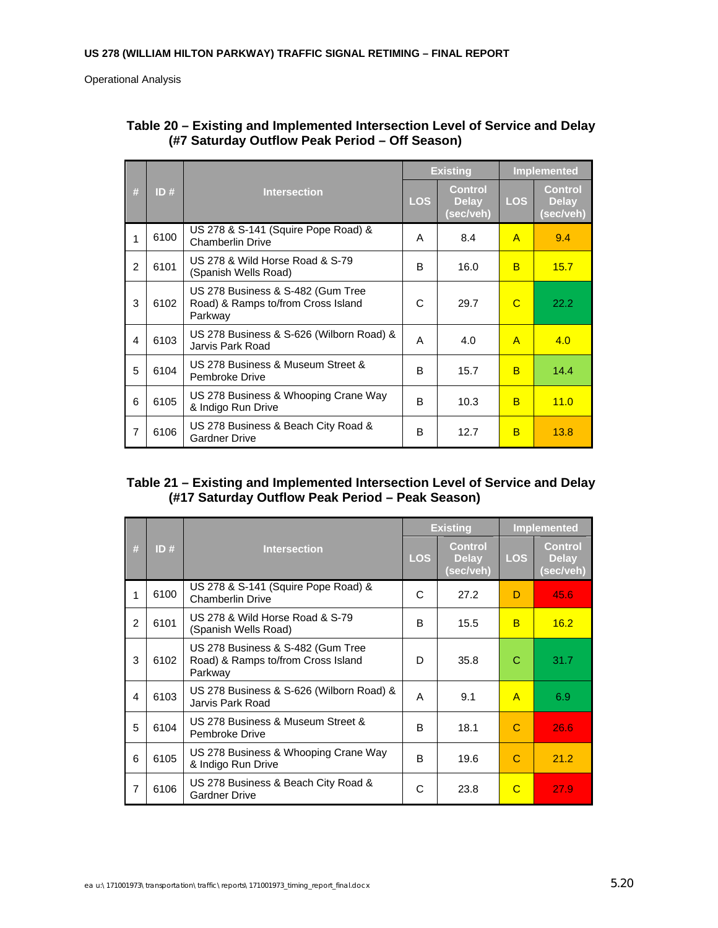|                |      |                                                                                    |   | <b>Existing</b>                             |              | <b>Implemented</b>                   |  |
|----------------|------|------------------------------------------------------------------------------------|---|---------------------------------------------|--------------|--------------------------------------|--|
| #              | ID#  | <b>Intersection</b>                                                                |   | <b>Control</b><br><b>Delay</b><br>(sec/veh) | <b>LOS</b>   | Control<br><b>Delay</b><br>(sec/veh) |  |
| 1              | 6100 | US 278 & S-141 (Squire Pope Road) &<br><b>Chamberlin Drive</b>                     | A | 8.4                                         | $\mathsf{A}$ | 9.4                                  |  |
| $\mathfrak{p}$ | 6101 | US 278 & Wild Horse Road & S-79<br>(Spanish Wells Road)                            | B | 16.0                                        | B            | 15.7                                 |  |
| 3              | 6102 | US 278 Business & S-482 (Gum Tree<br>Road) & Ramps to/from Cross Island<br>Parkway | C | 29.7                                        | C            | 22.2                                 |  |
| 4              | 6103 | US 278 Business & S-626 (Wilborn Road) &<br>Jarvis Park Road                       | A | 4.0                                         | $\mathsf{A}$ | 4.0                                  |  |
| 5              | 6104 | US 278 Business & Museum Street &<br>Pembroke Drive                                | B | 15.7                                        | B            | 14.4                                 |  |
| 6              | 6105 | US 278 Business & Whooping Crane Way<br>& Indigo Run Drive                         | B | 10.3                                        | B            | 11.0                                 |  |
| $\overline{7}$ | 6106 | US 278 Business & Beach City Road &<br><b>Gardner Drive</b>                        | B | 12.7                                        | B            | 13.8                                 |  |

## **Table 20 – Existing and Implemented Intersection Level of Service and Delay (#7 Saturday Outflow Peak Period – Off Season)**

### **Table 21 – Existing and Implemented Intersection Level of Service and Delay (#17 Saturday Outflow Peak Period – Peak Season)**

|   |      |                                                                                    |   | <b>Existing</b>                      | <b>Implemented</b> |                                      |  |
|---|------|------------------------------------------------------------------------------------|---|--------------------------------------|--------------------|--------------------------------------|--|
| # | ID#  | <b>Intersection</b>                                                                |   | Control<br><b>Delay</b><br>(sec/veh) | <b>LOS</b>         | Control<br><b>Delay</b><br>(sec/veh) |  |
| 1 | 6100 | US 278 & S-141 (Squire Pope Road) &<br><b>Chamberlin Drive</b>                     | C | 27.2                                 | D                  | 45.6                                 |  |
| 2 | 6101 | US 278 & Wild Horse Road & S-79<br>(Spanish Wells Road)                            | B | 15.5                                 | B                  | 16.2                                 |  |
| 3 | 6102 | US 278 Business & S-482 (Gum Tree<br>Road) & Ramps to/from Cross Island<br>Parkway | D | 35.8                                 | С                  | 31.7                                 |  |
| 4 | 6103 | US 278 Business & S-626 (Wilborn Road) &<br>Jarvis Park Road                       | A | 9.1                                  | $\mathsf{A}$       | 6.9                                  |  |
| 5 | 6104 | US 278 Business & Museum Street &<br>Pembroke Drive                                | B | 18.1                                 | C                  | 26.6                                 |  |
| 6 | 6105 | US 278 Business & Whooping Crane Way<br>& Indigo Run Drive                         | B | 19.6                                 | C                  | 21.2                                 |  |
| 7 | 6106 | US 278 Business & Beach City Road &<br><b>Gardner Drive</b>                        | С | 23.8                                 | C                  | 27.9                                 |  |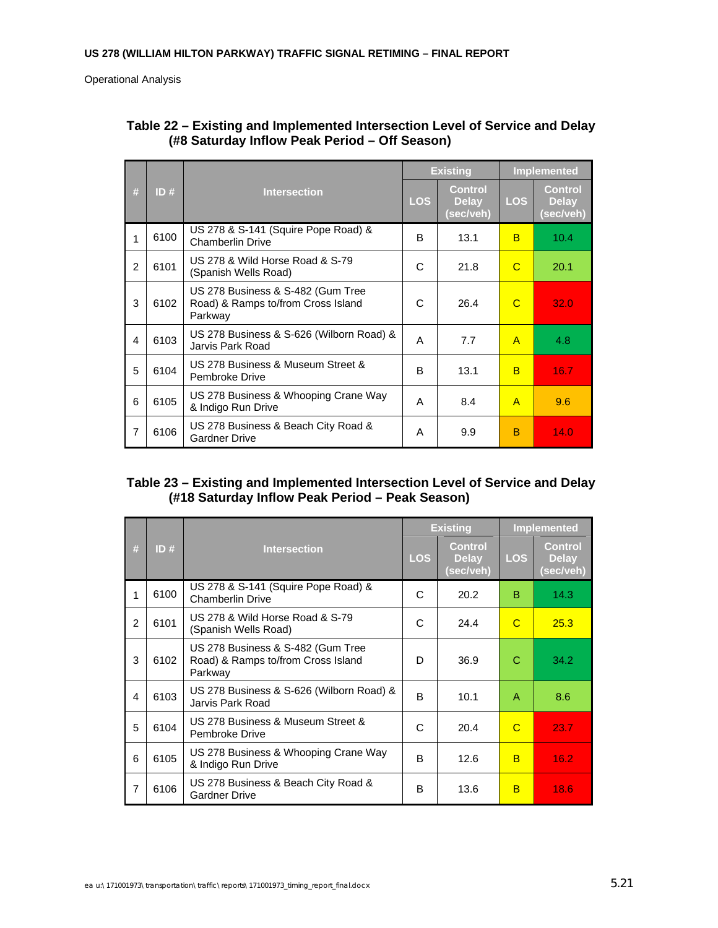|                |      | <b>Intersection</b>                                                                |            | <b>Existing</b>                             |                | Implemented                                 |  |
|----------------|------|------------------------------------------------------------------------------------|------------|---------------------------------------------|----------------|---------------------------------------------|--|
| #              | ID#  |                                                                                    | <b>LOS</b> | <b>Control</b><br><b>Delay</b><br>(sec/veh) | <b>LOS</b>     | <b>Control</b><br><b>Delay</b><br>(sec/veh) |  |
| 1              | 6100 | US 278 & S-141 (Squire Pope Road) &<br><b>Chamberlin Drive</b>                     | B          | 13.1                                        | B              | 10.4                                        |  |
| $\mathfrak{p}$ | 6101 | US 278 & Wild Horse Road & S-79<br>(Spanish Wells Road)                            | C          | 21.8                                        | C              | 20.1                                        |  |
| 3              | 6102 | US 278 Business & S-482 (Gum Tree<br>Road) & Ramps to/from Cross Island<br>Parkway | C          | 26.4                                        | C              | 32.0                                        |  |
| $\overline{4}$ | 6103 | US 278 Business & S-626 (Wilborn Road) &<br>Jarvis Park Road                       | A          | 7.7                                         | $\overline{A}$ | 4.8                                         |  |
| 5              | 6104 | US 278 Business & Museum Street &<br>Pembroke Drive                                | B          | 13.1                                        | B              | 16.7                                        |  |
| 6              | 6105 | US 278 Business & Whooping Crane Way<br>& Indigo Run Drive                         | A          | 8.4                                         | $\overline{A}$ | 9.6                                         |  |
| $\overline{7}$ | 6106 | US 278 Business & Beach City Road &<br><b>Gardner Drive</b>                        | A          | 9.9                                         | B              | 14.0                                        |  |

### **Table 22 – Existing and Implemented Intersection Level of Service and Delay (#8 Saturday Inflow Peak Period – Off Season)**

### **Table 23 – Existing and Implemented Intersection Level of Service and Delay (#18 Saturday Inflow Peak Period – Peak Season)**

|   |      |                                                                                    |   | <b>Existing</b>                      |            | <b>Implemented</b>                   |  |
|---|------|------------------------------------------------------------------------------------|---|--------------------------------------|------------|--------------------------------------|--|
| # | ID#  | <b>Intersection</b>                                                                |   | Control<br><b>Delay</b><br>(sec/veh) | <b>LOS</b> | Control<br><b>Delay</b><br>(sec/veh) |  |
| 1 | 6100 | US 278 & S-141 (Squire Pope Road) &<br><b>Chamberlin Drive</b>                     | C | 20.2                                 | B          | 14.3                                 |  |
| 2 | 6101 | US 278 & Wild Horse Road & S-79<br>(Spanish Wells Road)                            | C | 24.4                                 | C          | 25.3                                 |  |
| 3 | 6102 | US 278 Business & S-482 (Gum Tree<br>Road) & Ramps to/from Cross Island<br>Parkway | D | 36.9                                 | C          | 34.2                                 |  |
| 4 | 6103 | US 278 Business & S-626 (Wilborn Road) &<br>Jarvis Park Road                       | B | 10.1                                 | A          | 8.6                                  |  |
| 5 | 6104 | US 278 Business & Museum Street &<br>Pembroke Drive                                | C | 20.4                                 | C          | 23.7                                 |  |
| 6 | 6105 | US 278 Business & Whooping Crane Way<br>& Indigo Run Drive                         | B | 12.6                                 | B          | 16.2.                                |  |
| 7 | 6106 | US 278 Business & Beach City Road &<br><b>Gardner Drive</b>                        | B | 13.6                                 | B          | 18.6                                 |  |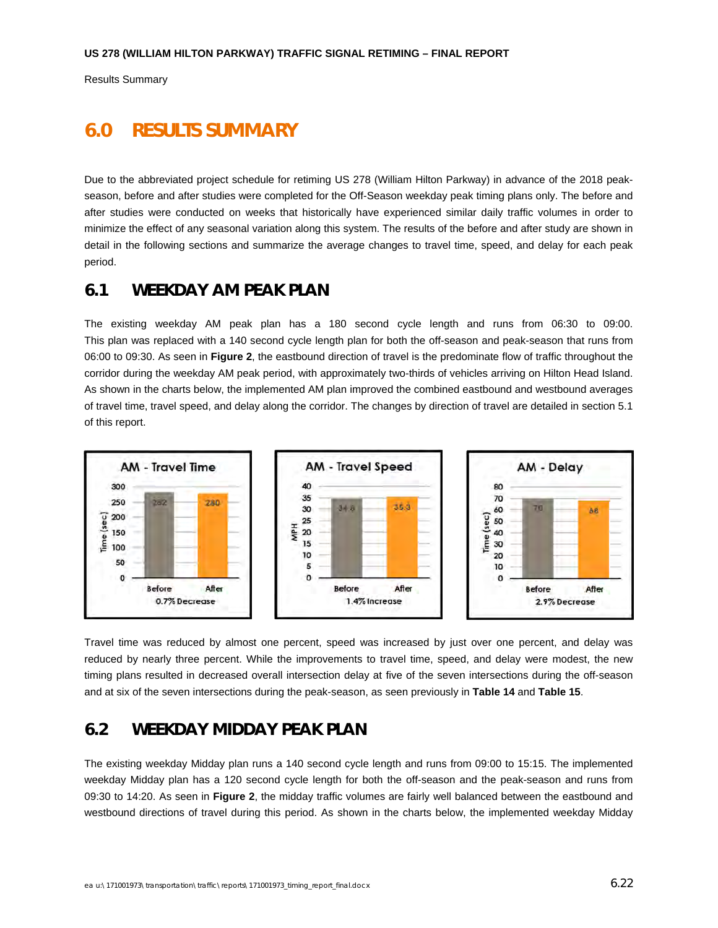Results Summary

# **6.0 RESULTS SUMMARY**

Due to the abbreviated project schedule for retiming US 278 (William Hilton Parkway) in advance of the 2018 peakseason, before and after studies were completed for the Off-Season weekday peak timing plans only. The before and after studies were conducted on weeks that historically have experienced similar daily traffic volumes in order to minimize the effect of any seasonal variation along this system. The results of the before and after study are shown in detail in the following sections and summarize the average changes to travel time, speed, and delay for each peak period.

# **6.1 WEEKDAY AM PEAK PLAN**

The existing weekday AM peak plan has a 180 second cycle length and runs from 06:30 to 09:00. This plan was replaced with a 140 second cycle length plan for both the off-season and peak-season that runs from 06:00 to 09:30. As seen in **Figure 2**, the eastbound direction of travel is the predominate flow of traffic throughout the corridor during the weekday AM peak period, with approximately two-thirds of vehicles arriving on Hilton Head Island. As shown in the charts below, the implemented AM plan improved the combined eastbound and westbound averages of travel time, travel speed, and delay along the corridor. The changes by direction of travel are detailed in section 5.1 of this report.



Travel time was reduced by almost one percent, speed was increased by just over one percent, and delay was reduced by nearly three percent. While the improvements to travel time, speed, and delay were modest, the new timing plans resulted in decreased overall intersection delay at five of the seven intersections during the off-season and at six of the seven intersections during the peak-season, as seen previously in **Table 14** and **Table 15**.

# **6.2 WEEKDAY MIDDAY PEAK PLAN**

The existing weekday Midday plan runs a 140 second cycle length and runs from 09:00 to 15:15. The implemented weekday Midday plan has a 120 second cycle length for both the off-season and the peak-season and runs from 09:30 to 14:20. As seen in **Figure 2**, the midday traffic volumes are fairly well balanced between the eastbound and westbound directions of travel during this period. As shown in the charts below, the implemented weekday Midday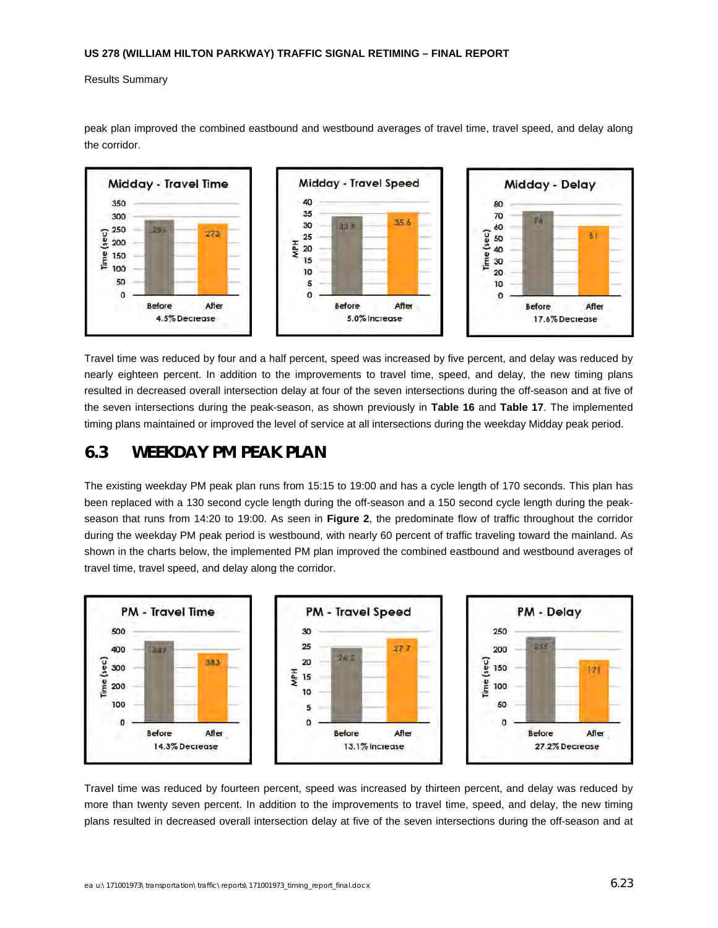Results Summary



peak plan improved the combined eastbound and westbound averages of travel time, travel speed, and delay along the corridor.

Travel time was reduced by four and a half percent, speed was increased by five percent, and delay was reduced by nearly eighteen percent. In addition to the improvements to travel time, speed, and delay, the new timing plans resulted in decreased overall intersection delay at four of the seven intersections during the off-season and at five of the seven intersections during the peak-season, as shown previously in **Table 16** and **Table 17**. The implemented timing plans maintained or improved the level of service at all intersections during the weekday Midday peak period.

# **6.3 WEEKDAY PM PEAK PLAN**

The existing weekday PM peak plan runs from 15:15 to 19:00 and has a cycle length of 170 seconds. This plan has been replaced with a 130 second cycle length during the off-season and a 150 second cycle length during the peakseason that runs from 14:20 to 19:00. As seen in **Figure 2**, the predominate flow of traffic throughout the corridor during the weekday PM peak period is westbound, with nearly 60 percent of traffic traveling toward the mainland. As shown in the charts below, the implemented PM plan improved the combined eastbound and westbound averages of travel time, travel speed, and delay along the corridor.



Travel time was reduced by fourteen percent, speed was increased by thirteen percent, and delay was reduced by more than twenty seven percent. In addition to the improvements to travel time, speed, and delay, the new timing plans resulted in decreased overall intersection delay at five of the seven intersections during the off-season and at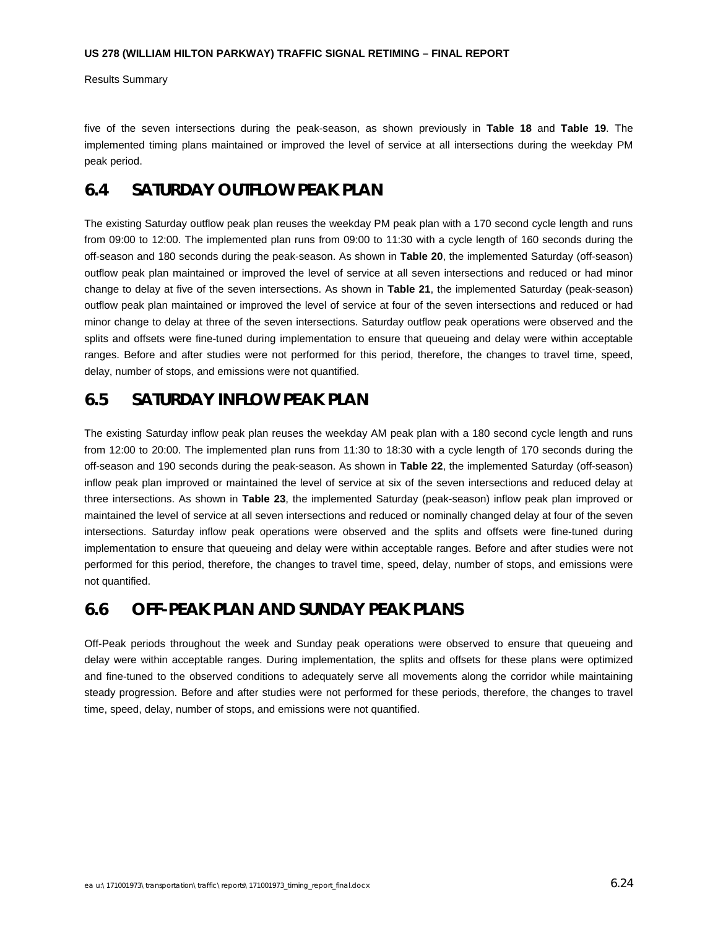Results Summary

five of the seven intersections during the peak-season, as shown previously in **Table 18** and **Table 19**. The implemented timing plans maintained or improved the level of service at all intersections during the weekday PM peak period.

# **6.4 SATURDAY OUTFLOW PEAK PLAN**

The existing Saturday outflow peak plan reuses the weekday PM peak plan with a 170 second cycle length and runs from 09:00 to 12:00. The implemented plan runs from 09:00 to 11:30 with a cycle length of 160 seconds during the off-season and 180 seconds during the peak-season. As shown in **Table 20**, the implemented Saturday (off-season) outflow peak plan maintained or improved the level of service at all seven intersections and reduced or had minor change to delay at five of the seven intersections. As shown in **Table 21**, the implemented Saturday (peak-season) outflow peak plan maintained or improved the level of service at four of the seven intersections and reduced or had minor change to delay at three of the seven intersections. Saturday outflow peak operations were observed and the splits and offsets were fine-tuned during implementation to ensure that queueing and delay were within acceptable ranges. Before and after studies were not performed for this period, therefore, the changes to travel time, speed, delay, number of stops, and emissions were not quantified.

# **6.5 SATURDAY INFLOW PEAK PLAN**

The existing Saturday inflow peak plan reuses the weekday AM peak plan with a 180 second cycle length and runs from 12:00 to 20:00. The implemented plan runs from 11:30 to 18:30 with a cycle length of 170 seconds during the off-season and 190 seconds during the peak-season. As shown in **Table 22**, the implemented Saturday (off-season) inflow peak plan improved or maintained the level of service at six of the seven intersections and reduced delay at three intersections. As shown in **Table 23**, the implemented Saturday (peak-season) inflow peak plan improved or maintained the level of service at all seven intersections and reduced or nominally changed delay at four of the seven intersections. Saturday inflow peak operations were observed and the splits and offsets were fine-tuned during implementation to ensure that queueing and delay were within acceptable ranges. Before and after studies were not performed for this period, therefore, the changes to travel time, speed, delay, number of stops, and emissions were not quantified.

## **6.6 OFF-PEAK PLAN AND SUNDAY PEAK PLANS**

Off-Peak periods throughout the week and Sunday peak operations were observed to ensure that queueing and delay were within acceptable ranges. During implementation, the splits and offsets for these plans were optimized and fine-tuned to the observed conditions to adequately serve all movements along the corridor while maintaining steady progression. Before and after studies were not performed for these periods, therefore, the changes to travel time, speed, delay, number of stops, and emissions were not quantified.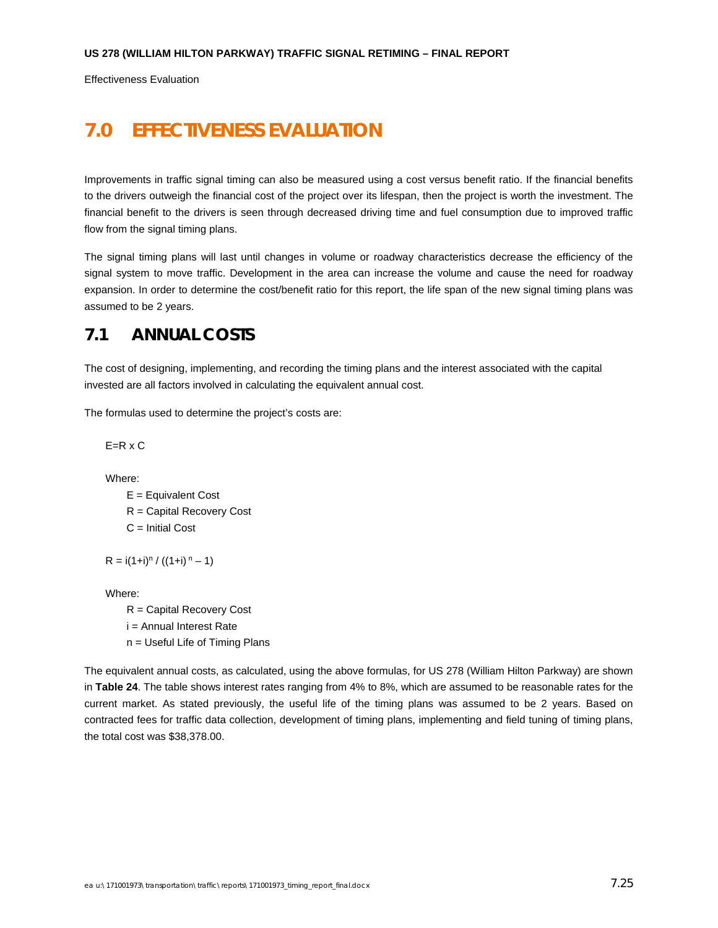Effectiveness Evaluation

# **7.0 EFFECTIVENESS EVALUATION**

Improvements in traffic signal timing can also be measured using a cost versus benefit ratio. If the financial benefits to the drivers outweigh the financial cost of the project over its lifespan, then the project is worth the investment. The financial benefit to the drivers is seen through decreased driving time and fuel consumption due to improved traffic flow from the signal timing plans.

The signal timing plans will last until changes in volume or roadway characteristics decrease the efficiency of the signal system to move traffic. Development in the area can increase the volume and cause the need for roadway expansion. In order to determine the cost/benefit ratio for this report, the life span of the new signal timing plans was assumed to be 2 years.

## **7.1 ANNUAL COSTS**

The cost of designing, implementing, and recording the timing plans and the interest associated with the capital invested are all factors involved in calculating the equivalent annual cost.

The formulas used to determine the project's costs are:

 $E=R \times C$ 

Where:

 E = Equivalent Cost R = Capital Recovery Cost C = Initial Cost

 $R = i(1+i)^n / ((1+i)^n - 1)$ 

Where:

 R = Capital Recovery Cost i = Annual Interest Rate n = Useful Life of Timing Plans

The equivalent annual costs, as calculated, using the above formulas, for US 278 (William Hilton Parkway) are shown in **Table 24**. The table shows interest rates ranging from 4% to 8%, which are assumed to be reasonable rates for the current market. As stated previously, the useful life of the timing plans was assumed to be 2 years. Based on contracted fees for traffic data collection, development of timing plans, implementing and field tuning of timing plans, the total cost was \$38,378.00.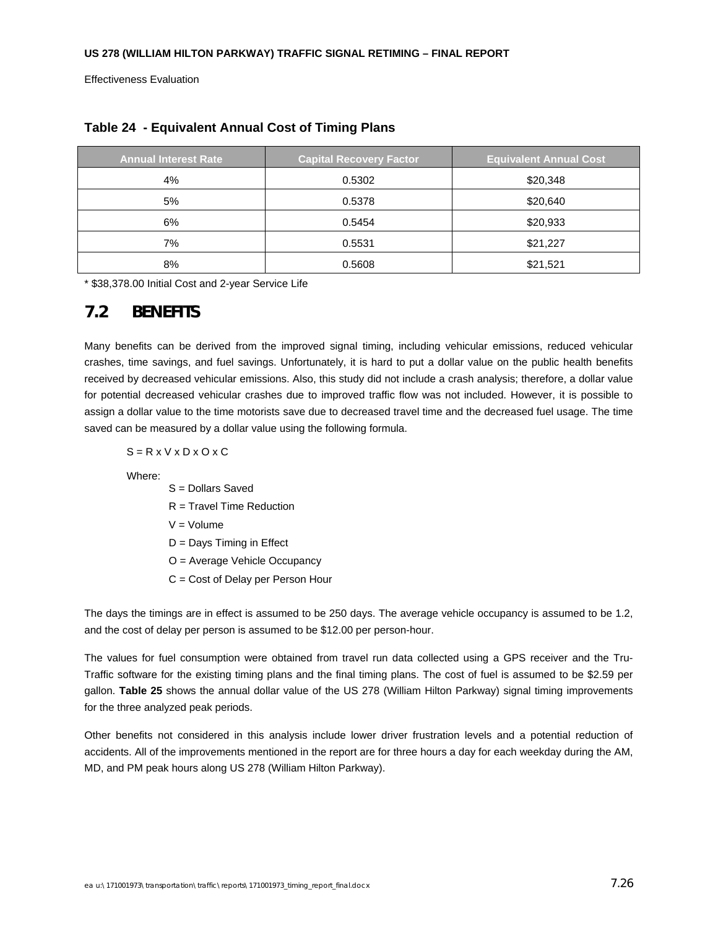Effectiveness Evaluation

| <b>Annual Interest Rate</b> | <b>Capital Recovery Factor</b> | <b>Equivalent Annual Cost</b> |
|-----------------------------|--------------------------------|-------------------------------|
| 4%                          | 0.5302                         | \$20,348                      |
| 5%                          | 0.5378                         | \$20,640                      |
| 6%                          | 0.5454                         | \$20,933                      |
| 7%                          | 0.5531                         | \$21,227                      |
| 8%                          | 0.5608                         | \$21,521                      |

#### **Table 24 - Equivalent Annual Cost of Timing Plans**

\* \$38,378.00 Initial Cost and 2-year Service Life

## **7.2 BENEFITS**

Many benefits can be derived from the improved signal timing, including vehicular emissions, reduced vehicular crashes, time savings, and fuel savings. Unfortunately, it is hard to put a dollar value on the public health benefits received by decreased vehicular emissions. Also, this study did not include a crash analysis; therefore, a dollar value for potential decreased vehicular crashes due to improved traffic flow was not included. However, it is possible to assign a dollar value to the time motorists save due to decreased travel time and the decreased fuel usage. The time saved can be measured by a dollar value using the following formula.

 $S = R \times V \times D \times O \times C$ 

Where:

- S = Dollars Saved
- R = Travel Time Reduction
- $V = Volume$
- D = Days Timing in Effect
- O = Average Vehicle Occupancy
- C = Cost of Delay per Person Hour

The days the timings are in effect is assumed to be 250 days. The average vehicle occupancy is assumed to be 1.2, and the cost of delay per person is assumed to be \$12.00 per person-hour.

The values for fuel consumption were obtained from travel run data collected using a GPS receiver and the Tru-Traffic software for the existing timing plans and the final timing plans. The cost of fuel is assumed to be \$2.59 per gallon. **Table 25** shows the annual dollar value of the US 278 (William Hilton Parkway) signal timing improvements for the three analyzed peak periods.

Other benefits not considered in this analysis include lower driver frustration levels and a potential reduction of accidents. All of the improvements mentioned in the report are for three hours a day for each weekday during the AM, MD, and PM peak hours along US 278 (William Hilton Parkway).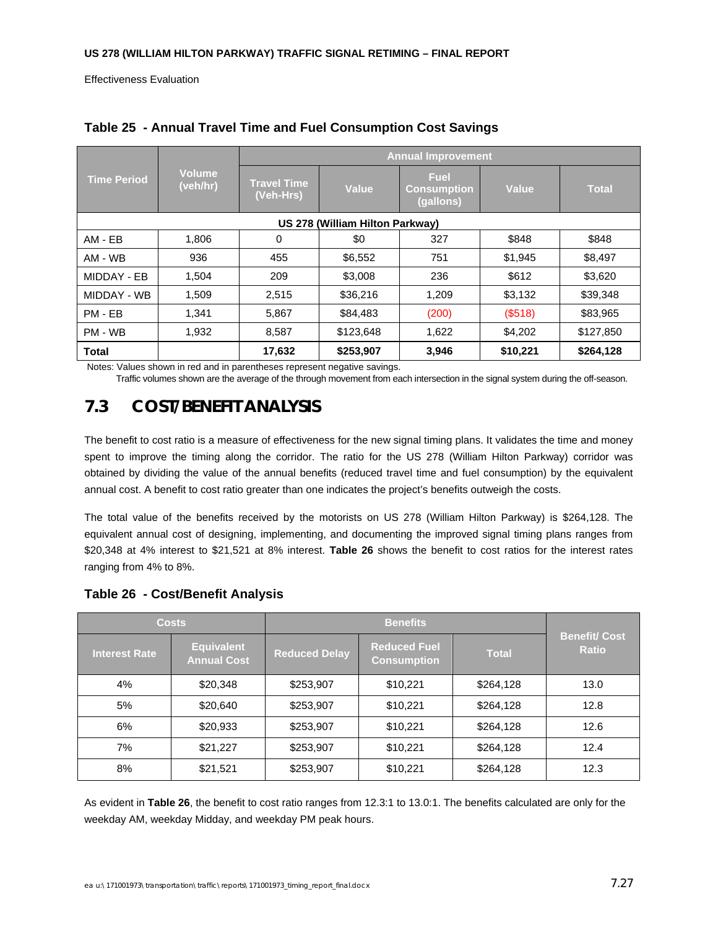Effectiveness Evaluation

|                    |                                 | <b>Annual Improvement</b>       |              |                                                |          |              |  |
|--------------------|---------------------------------|---------------------------------|--------------|------------------------------------------------|----------|--------------|--|
| <b>Time Period</b> | <b>Volume</b><br>(veh/hr)       | <b>Travel Time</b><br>(Veh-Hrs) | <b>Value</b> | <b>Fuel</b><br><b>Consumption</b><br>(gallons) | Value    | <b>Total</b> |  |
|                    | US 278 (William Hilton Parkway) |                                 |              |                                                |          |              |  |
| AM - EB            | 1,806                           | 0                               | \$0          | 327                                            | \$848    | \$848        |  |
| AM - WB            | 936                             | 455                             | \$6,552      | 751                                            | \$1,945  | \$8,497      |  |
| MIDDAY - EB        | 1.504                           | 209                             | \$3,008      | 236                                            | \$612    | \$3,620      |  |
| MIDDAY - WB        | 1,509                           | 2,515                           | \$36,216     | 1,209                                          | \$3,132  | \$39,348     |  |
| PM - EB            | 1,341                           | 5,867                           | \$84,483     | (200)                                          | (\$518)  | \$83,965     |  |
| PM - WB            | 1,932                           | 8,587                           | \$123,648    | 1,622                                          | \$4,202  | \$127,850    |  |
| <b>Total</b>       |                                 | 17,632                          | \$253,907    | 3,946                                          | \$10,221 | \$264,128    |  |

**Table 25 - Annual Travel Time and Fuel Consumption Cost Savings**

Notes: Values shown in red and in parentheses represent negative savings.

Traffic volumes shown are the average of the through movement from each intersection in the signal system during the off-season.

# **7.3 COST/BENEFIT ANALYSIS**

The benefit to cost ratio is a measure of effectiveness for the new signal timing plans. It validates the time and money spent to improve the timing along the corridor. The ratio for the US 278 (William Hilton Parkway) corridor was obtained by dividing the value of the annual benefits (reduced travel time and fuel consumption) by the equivalent annual cost. A benefit to cost ratio greater than one indicates the project's benefits outweigh the costs.

The total value of the benefits received by the motorists on US 278 (William Hilton Parkway) is \$264,128. The equivalent annual cost of designing, implementing, and documenting the improved signal timing plans ranges from \$20,348 at 4% interest to \$21,521 at 8% interest. **Table 26** shows the benefit to cost ratios for the interest rates ranging from 4% to 8%.

|  | Table 26 - Cost/Benefit Analysis |  |
|--|----------------------------------|--|
|--|----------------------------------|--|

| <b>Costs</b>         |                                         | <b>Benefits</b>      |                                           |              |                                     |
|----------------------|-----------------------------------------|----------------------|-------------------------------------------|--------------|-------------------------------------|
| <b>Interest Rate</b> | <b>Equivalent</b><br><b>Annual Cost</b> | <b>Reduced Delay</b> | <b>Reduced Fuel</b><br><b>Consumption</b> | <b>Total</b> | <b>Benefit/Cost</b><br><b>Ratio</b> |
| 4%                   | \$20,348                                | \$253,907            | \$10,221                                  | \$264,128    | 13.0                                |
| 5%                   | \$20,640                                | \$253,907            | \$10,221                                  | \$264,128    | 12.8                                |
| 6%                   | \$20,933                                | \$253,907            | \$10,221                                  | \$264,128    | 12.6                                |
| 7%                   | \$21,227                                | \$253,907            | \$10,221                                  | \$264,128    | 12.4                                |
| 8%                   | \$21,521                                | \$253,907            | \$10,221                                  | \$264,128    | 12.3                                |

As evident in **Table 26**, the benefit to cost ratio ranges from 12.3:1 to 13.0:1. The benefits calculated are only for the weekday AM, weekday Midday, and weekday PM peak hours.